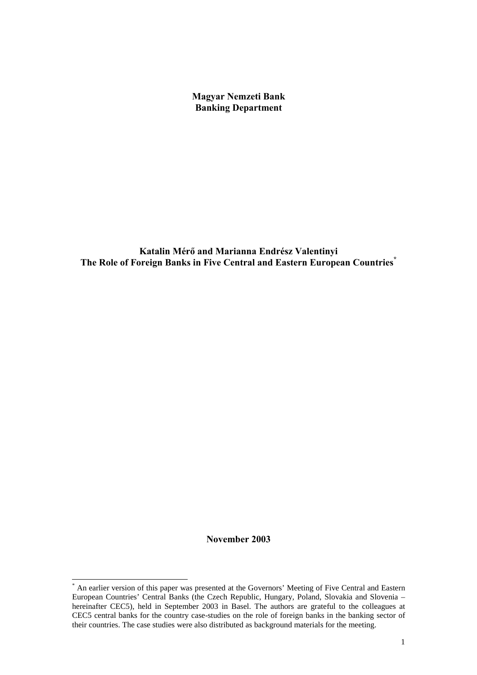**Magyar Nemzeti Bank Banking Department**

**Katalin Mérő and Marianna Endrész Valentinyi The Role of Foreign Banks in Five Central and Eastern European Countries[\\*](#page-0-0)**

**November 2003**

 $\overline{a}$ 

<span id="page-0-0"></span><sup>\*</sup> An earlier version of this paper was presented at the Governors' Meeting of Five Central and Eastern European Countries' Central Banks (the Czech Republic, Hungary, Poland, Slovakia and Slovenia – hereinafter CEC5), held in September 2003 in Basel. The authors are grateful to the colleagues at CEC5 central banks for the country case-studies on the role of foreign banks in the banking sector of their countries. The case studies were also distributed as background materials for the meeting.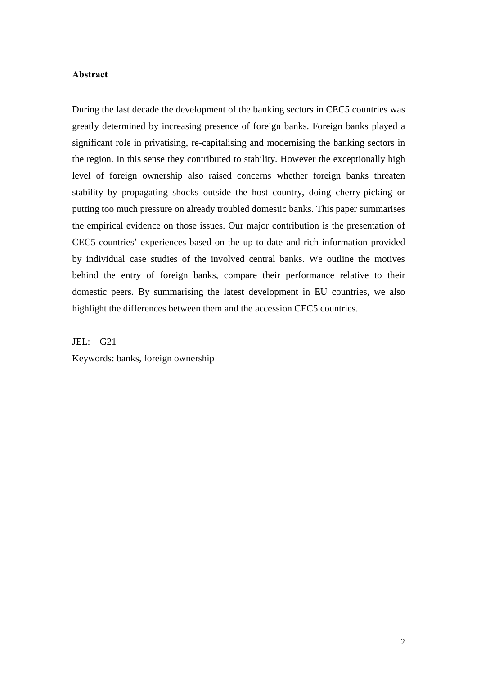## <span id="page-1-0"></span>**Abstract**

During the last decade the development of the banking sectors in CEC5 countries was greatly determined by increasing presence of foreign banks. Foreign banks played a significant role in privatising, re-capitalising and modernising the banking sectors in the region. In this sense they contributed to stability. However the exceptionally high level of foreign ownership also raised concerns whether foreign banks threaten stability by propagating shocks outside the host country, doing cherry-picking or putting too much pressure on already troubled domestic banks. This paper summarises the empirical evidence on those issues. Our major contribution is the presentation of CEC5 countries' experiences based on the up-to-date and rich information provided by individual case studies of the involved central banks. We outline the motives behind the entry of foreign banks, compare their performance relative to their domestic peers. By summarising the latest development in EU countries, we also highlight the differences between them and the accession CEC5 countries.

JEL: G21 Keywords: banks, foreign ownership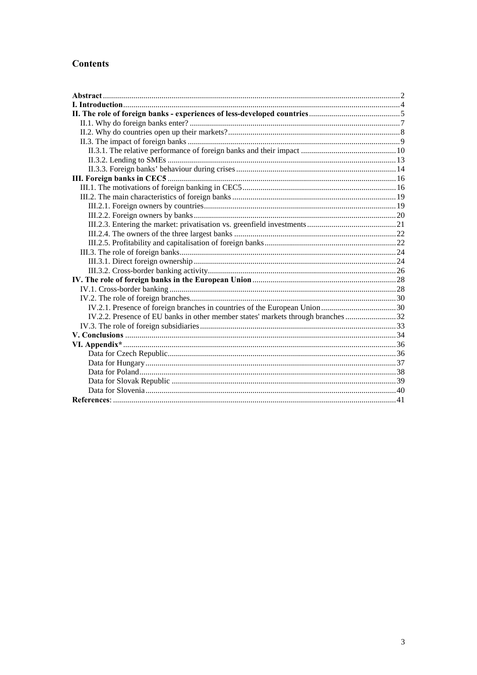## **Contents**

| IV.2.2. Presence of EU banks in other member states' markets through branches32 |  |
|---------------------------------------------------------------------------------|--|
|                                                                                 |  |
|                                                                                 |  |
|                                                                                 |  |
|                                                                                 |  |
|                                                                                 |  |
|                                                                                 |  |
|                                                                                 |  |
|                                                                                 |  |
|                                                                                 |  |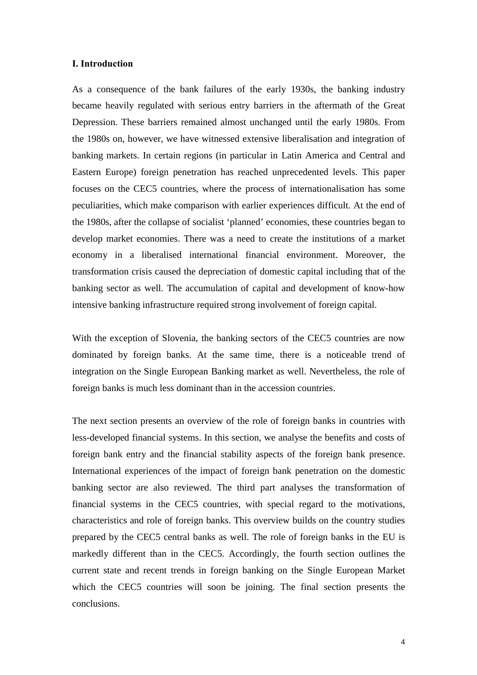#### <span id="page-3-0"></span>**I. Introduction**

As a consequence of the bank failures of the early 1930s, the banking industry became heavily regulated with serious entry barriers in the aftermath of the Great Depression. These barriers remained almost unchanged until the early 1980s. From the 1980s on, however, we have witnessed extensive liberalisation and integration of banking markets. In certain regions (in particular in Latin America and Central and Eastern Europe) foreign penetration has reached unprecedented levels. This paper focuses on the CEC5 countries, where the process of internationalisation has some peculiarities, which make comparison with earlier experiences difficult. At the end of the 1980s, after the collapse of socialist 'planned' economies, these countries began to develop market economies. There was a need to create the institutions of a market economy in a liberalised international financial environment. Moreover, the transformation crisis caused the depreciation of domestic capital including that of the banking sector as well. The accumulation of capital and development of know-how intensive banking infrastructure required strong involvement of foreign capital.

With the exception of Slovenia, the banking sectors of the CEC5 countries are now dominated by foreign banks. At the same time, there is a noticeable trend of integration on the Single European Banking market as well. Nevertheless, the role of foreign banks is much less dominant than in the accession countries.

The next section presents an overview of the role of foreign banks in countries with less-developed financial systems. In this section, we analyse the benefits and costs of foreign bank entry and the financial stability aspects of the foreign bank presence. International experiences of the impact of foreign bank penetration on the domestic banking sector are also reviewed. The third part analyses the transformation of financial systems in the CEC5 countries, with special regard to the motivations, characteristics and role of foreign banks. This overview builds on the country studies prepared by the CEC5 central banks as well. The role of foreign banks in the EU is markedly different than in the CEC5. Accordingly, the fourth section outlines the current state and recent trends in foreign banking on the Single European Market which the CEC5 countries will soon be joining. The final section presents the conclusions.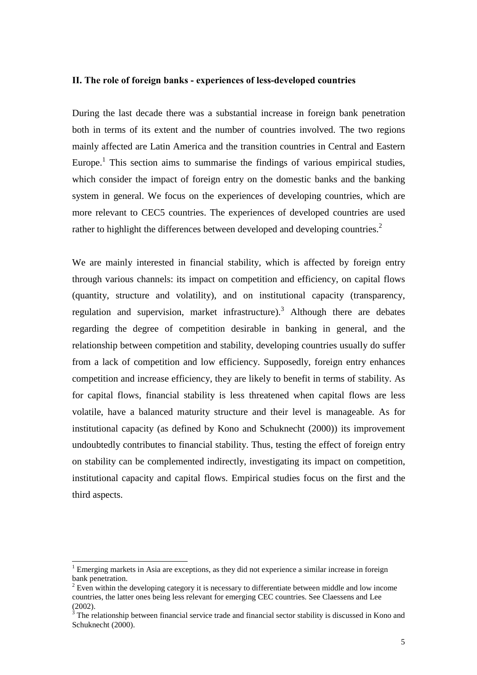#### <span id="page-4-0"></span>**II. The role of foreign banks - experiences of less-developed countries**

During the last decade there was a substantial increase in foreign bank penetration both in terms of its extent and the number of countries involved. The two regions mainly affected are Latin America and the transition countries in Central and Eastern Europe.<sup>[1](#page-4-1)</sup> This section aims to summarise the findings of various empirical studies, which consider the impact of foreign entry on the domestic banks and the banking system in general. We focus on the experiences of developing countries, which are more relevant to CEC5 countries. The experiences of developed countries are used rather to highlight the differences between developed and developing countries.<sup>[2](#page-4-2)</sup>

We are mainly interested in financial stability, which is affected by foreign entry through various channels: its impact on competition and efficiency, on capital flows (quantity, structure and volatility), and on institutional capacity (transparency, regulation and supervision, market infrastructure).<sup>[3](#page-4-3)</sup> Although there are debates regarding the degree of competition desirable in banking in general, and the relationship between competition and stability, developing countries usually do suffer from a lack of competition and low efficiency. Supposedly, foreign entry enhances competition and increase efficiency, they are likely to benefit in terms of stability. As for capital flows, financial stability is less threatened when capital flows are less volatile, have a balanced maturity structure and their level is manageable. As for institutional capacity (as defined by Kono and Schuknecht (2000)) its improvement undoubtedly contributes to financial stability. Thus, testing the effect of foreign entry on stability can be complemented indirectly, investigating its impact on competition, institutional capacity and capital flows. Empirical studies focus on the first and the third aspects.

 $\overline{a}$ 

<span id="page-4-1"></span><sup>&</sup>lt;sup>1</sup> Emerging markets in Asia are exceptions, as they did not experience a similar increase in foreign bank penetration.

<span id="page-4-2"></span> $2$  Even within the developing category it is necessary to differentiate between middle and low income countries, the latter ones being less relevant for emerging CEC countries. See Claessens and Lee (2002).

<span id="page-4-3"></span> $3$  The relationship between financial service trade and financial sector stability is discussed in Kono and Schuknecht (2000).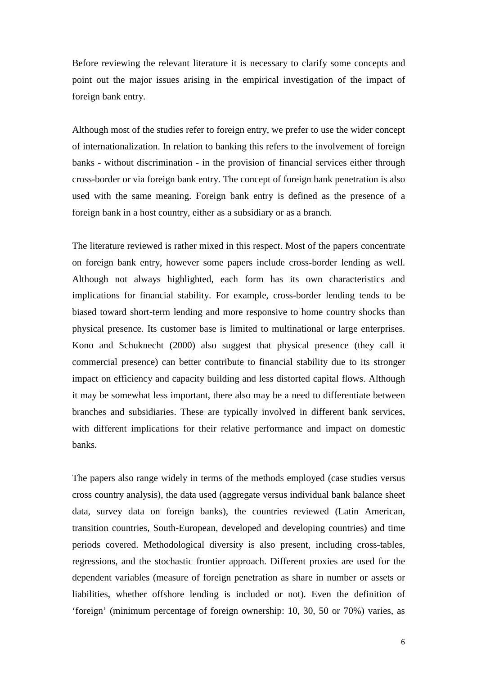Before reviewing the relevant literature it is necessary to clarify some concepts and point out the major issues arising in the empirical investigation of the impact of foreign bank entry.

Although most of the studies refer to foreign entry, we prefer to use the wider concept of internationalization. In relation to banking this refers to the involvement of foreign banks - without discrimination - in the provision of financial services either through cross-border or via foreign bank entry. The concept of foreign bank penetration is also used with the same meaning. Foreign bank entry is defined as the presence of a foreign bank in a host country, either as a subsidiary or as a branch.

The literature reviewed is rather mixed in this respect. Most of the papers concentrate on foreign bank entry, however some papers include cross-border lending as well. Although not always highlighted, each form has its own characteristics and implications for financial stability. For example, cross-border lending tends to be biased toward short-term lending and more responsive to home country shocks than physical presence. Its customer base is limited to multinational or large enterprises. Kono and Schuknecht (2000) also suggest that physical presence (they call it commercial presence) can better contribute to financial stability due to its stronger impact on efficiency and capacity building and less distorted capital flows. Although it may be somewhat less important, there also may be a need to differentiate between branches and subsidiaries. These are typically involved in different bank services, with different implications for their relative performance and impact on domestic banks.

The papers also range widely in terms of the methods employed (case studies versus cross country analysis), the data used (aggregate versus individual bank balance sheet data, survey data on foreign banks), the countries reviewed (Latin American, transition countries, South-European, developed and developing countries) and time periods covered. Methodological diversity is also present, including cross-tables, regressions, and the stochastic frontier approach. Different proxies are used for the dependent variables (measure of foreign penetration as share in number or assets or liabilities, whether offshore lending is included or not). Even the definition of 'foreign' (minimum percentage of foreign ownership: 10, 30, 50 or 70%) varies, as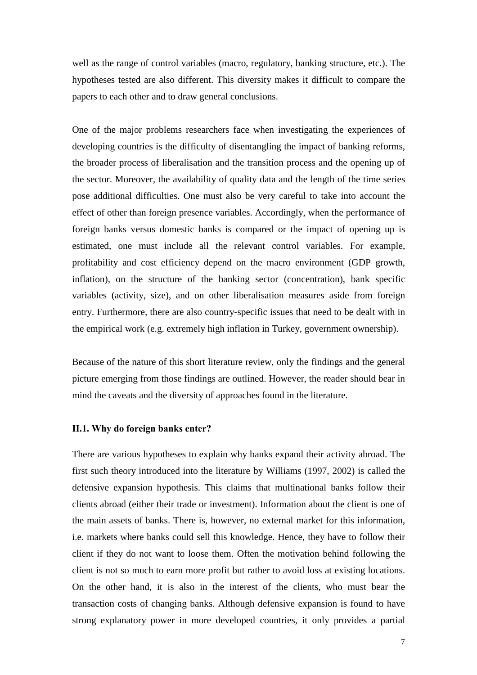well as the range of control variables (macro, regulatory, banking structure, etc.). The hypotheses tested are also different. This diversity makes it difficult to compare the papers to each other and to draw general conclusions.

One of the major problems researchers face when investigating the experiences of developing countries is the difficulty of disentangling the impact of banking reforms, the broader process of liberalisation and the transition process and the opening up of the sector. Moreover, the availability of quality data and the length of the time series pose additional difficulties. One must also be very careful to take into account the effect of other than foreign presence variables. Accordingly, when the performance of foreign banks versus domestic banks is compared or the impact of opening up is estimated, one must include all the relevant control variables. For example, profitability and cost efficiency depend on the macro environment (GDP growth, inflation), on the structure of the banking sector (concentration), bank specific variables (activity, size), and on other liberalisation measures aside from foreign entry. Furthermore, there are also country-specific issues that need to be dealt with in the empirical work (e.g. extremely high inflation in Turkey, government ownership).

Because of the nature of this short literature review, only the findings and the general picture emerging from those findings are outlined. However, the reader should bear in mind the caveats and the diversity of approaches found in the literature.

#### <span id="page-6-0"></span>**II.1. Why do foreign banks enter?**

There are various hypotheses to explain why banks expand their activity abroad. The first such theory introduced into the literature by Williams (1997, 2002) is called the defensive expansion hypothesis. This claims that multinational banks follow their clients abroad (either their trade or investment). Information about the client is one of the main assets of banks. There is, however, no external market for this information, i.e. markets where banks could sell this knowledge. Hence, they have to follow their client if they do not want to loose them. Often the motivation behind following the client is not so much to earn more profit but rather to avoid loss at existing locations. On the other hand, it is also in the interest of the clients, who must bear the transaction costs of changing banks. Although defensive expansion is found to have strong explanatory power in more developed countries, it only provides a partial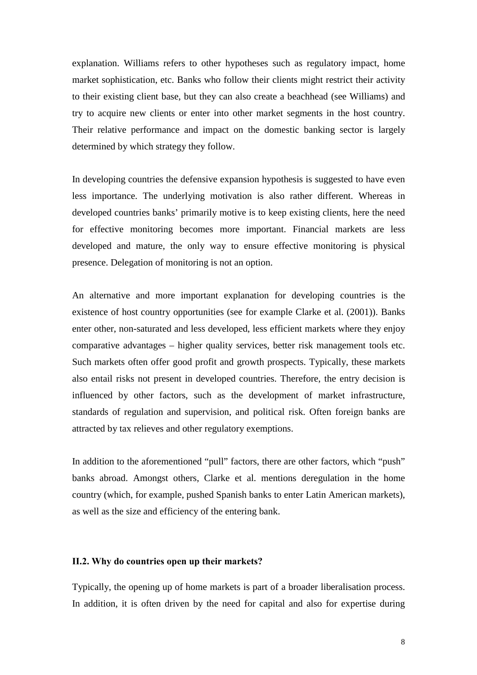explanation. Williams refers to other hypotheses such as regulatory impact, home market sophistication, etc. Banks who follow their clients might restrict their activity to their existing client base, but they can also create a beachhead (see Williams) and try to acquire new clients or enter into other market segments in the host country. Their relative performance and impact on the domestic banking sector is largely determined by which strategy they follow.

In developing countries the defensive expansion hypothesis is suggested to have even less importance. The underlying motivation is also rather different. Whereas in developed countries banks' primarily motive is to keep existing clients, here the need for effective monitoring becomes more important. Financial markets are less developed and mature, the only way to ensure effective monitoring is physical presence. Delegation of monitoring is not an option.

An alternative and more important explanation for developing countries is the existence of host country opportunities (see for example Clarke et al. (2001)). Banks enter other, non-saturated and less developed, less efficient markets where they enjoy comparative advantages – higher quality services, better risk management tools etc. Such markets often offer good profit and growth prospects. Typically, these markets also entail risks not present in developed countries. Therefore, the entry decision is influenced by other factors, such as the development of market infrastructure, standards of regulation and supervision, and political risk. Often foreign banks are attracted by tax relieves and other regulatory exemptions.

In addition to the aforementioned "pull" factors, there are other factors, which "push" banks abroad. Amongst others, Clarke et al. mentions deregulation in the home country (which, for example, pushed Spanish banks to enter Latin American markets), as well as the size and efficiency of the entering bank.

### <span id="page-7-0"></span>**II.2. Why do countries open up their markets?**

Typically, the opening up of home markets is part of a broader liberalisation process. In addition, it is often driven by the need for capital and also for expertise during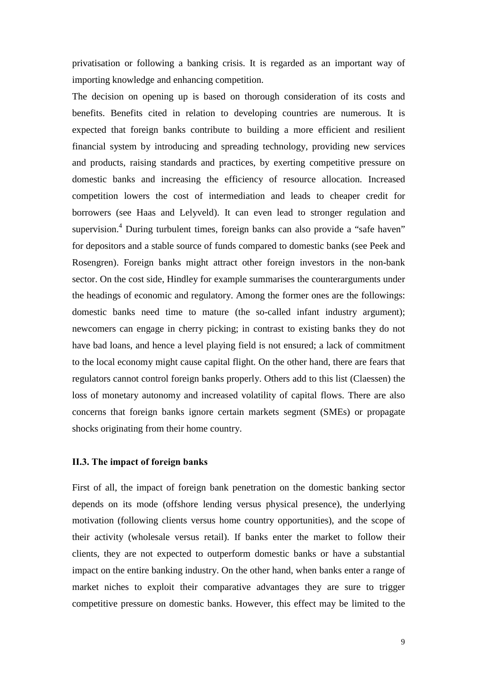privatisation or following a banking crisis. It is regarded as an important way of importing knowledge and enhancing competition.

The decision on opening up is based on thorough consideration of its costs and benefits. Benefits cited in relation to developing countries are numerous. It is expected that foreign banks contribute to building a more efficient and resilient financial system by introducing and spreading technology, providing new services and products, raising standards and practices, by exerting competitive pressure on domestic banks and increasing the efficiency of resource allocation. Increased competition lowers the cost of intermediation and leads to cheaper credit for borrowers (see Haas and Lelyveld). It can even lead to stronger regulation and supervision.<sup>[4](#page-8-1)</sup> During turbulent times, foreign banks can also provide a "safe haven" for depositors and a stable source of funds compared to domestic banks (see Peek and Rosengren). Foreign banks might attract other foreign investors in the non-bank sector. On the cost side, Hindley for example summarises the counterarguments under the headings of economic and regulatory. Among the former ones are the followings: domestic banks need time to mature (the so-called infant industry argument); newcomers can engage in cherry picking; in contrast to existing banks they do not have bad loans, and hence a level playing field is not ensured; a lack of commitment to the local economy might cause capital flight. On the other hand, there are fears that regulators cannot control foreign banks properly. Others add to this list (Claessen) the loss of monetary autonomy and increased volatility of capital flows. There are also concerns that foreign banks ignore certain markets segment (SMEs) or propagate shocks originating from their home country.

### <span id="page-8-0"></span>**II.3. The impact of foreign banks**

<span id="page-8-1"></span>First of all, the impact of foreign bank penetration on the domestic banking sector depends on its mode (offshore lending versus physical presence), the underlying motivation (following clients versus home country opportunities), and the scope of their activity (wholesale versus retail). If banks enter the market to follow their clients, they are not expected to outperform domestic banks or have a substantial impact on the entire banking industry. On the other hand, when banks enter a range of market niches to exploit their comparative advantages they are sure to trigger competitive pressure on domestic banks. However, this effect may be limited to the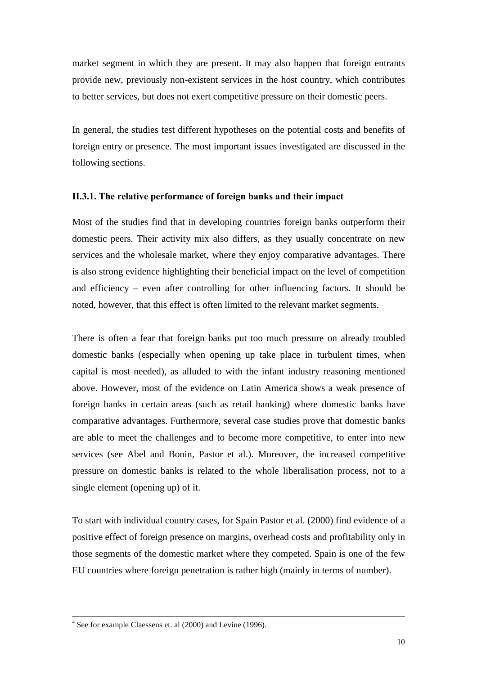market segment in which they are present. It may also happen that foreign entrants provide new, previously non-existent services in the host country, which contributes to better services, but does not exert competitive pressure on their domestic peers.

In general, the studies test different hypotheses on the potential costs and benefits of foreign entry or presence. The most important issues investigated are discussed in the following sections.

## <span id="page-9-0"></span>**II.3.1. The relative performance of foreign banks and their impact**

Most of the studies find that in developing countries foreign banks outperform their domestic peers. Their activity mix also differs, as they usually concentrate on new services and the wholesale market, where they enjoy comparative advantages. There is also strong evidence highlighting their beneficial impact on the level of competition and efficiency – even after controlling for other influencing factors. It should be noted, however, that this effect is often limited to the relevant market segments.

There is often a fear that foreign banks put too much pressure on already troubled domestic banks (especially when opening up take place in turbulent times, when capital is most needed), as alluded to with the infant industry reasoning mentioned above. However, most of the evidence on Latin America shows a weak presence of foreign banks in certain areas (such as retail banking) where domestic banks have comparative advantages. Furthermore, several case studies prove that domestic banks are able to meet the challenges and to become more competitive, to enter into new services (see Abel and Bonin, Pastor et al.). Moreover, the increased competitive pressure on domestic banks is related to the whole liberalisation process, not to a single element (opening up) of it.

To start with individual country cases, for Spain Pastor et al. (2000) find evidence of a positive effect of foreign presence on margins, overhead costs and profitability only in those segments of the domestic market where they competed. Spain is one of the few EU countries where foreign penetration is rather high (mainly in terms of number).

 $4$  See for example Claessens et. al (2000) and Levine (1996).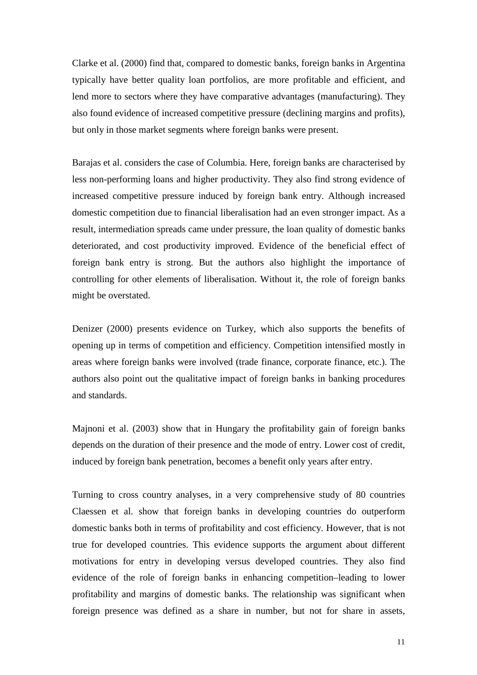Clarke et al. (2000) find that, compared to domestic banks, foreign banks in Argentina typically have better quality loan portfolios, are more profitable and efficient, and lend more to sectors where they have comparative advantages (manufacturing). They also found evidence of increased competitive pressure (declining margins and profits), but only in those market segments where foreign banks were present.

Barajas et al. considers the case of Columbia. Here, foreign banks are characterised by less non-performing loans and higher productivity. They also find strong evidence of increased competitive pressure induced by foreign bank entry. Although increased domestic competition due to financial liberalisation had an even stronger impact. As a result, intermediation spreads came under pressure, the loan quality of domestic banks deteriorated, and cost productivity improved. Evidence of the beneficial effect of foreign bank entry is strong. But the authors also highlight the importance of controlling for other elements of liberalisation. Without it, the role of foreign banks might be overstated.

Denizer (2000) presents evidence on Turkey, which also supports the benefits of opening up in terms of competition and efficiency. Competition intensified mostly in areas where foreign banks were involved (trade finance, corporate finance, etc.). The authors also point out the qualitative impact of foreign banks in banking procedures and standards.

Majnoni et al. (2003) show that in Hungary the profitability gain of foreign banks depends on the duration of their presence and the mode of entry. Lower cost of credit, induced by foreign bank penetration, becomes a benefit only years after entry.

Turning to cross country analyses, in a very comprehensive study of 80 countries Claessen et al. show that foreign banks in developing countries do outperform domestic banks both in terms of profitability and cost efficiency. However, that is not true for developed countries. This evidence supports the argument about different motivations for entry in developing versus developed countries. They also find evidence of the role of foreign banks in enhancing competition–leading to lower profitability and margins of domestic banks. The relationship was significant when foreign presence was defined as a share in number, but not for share in assets,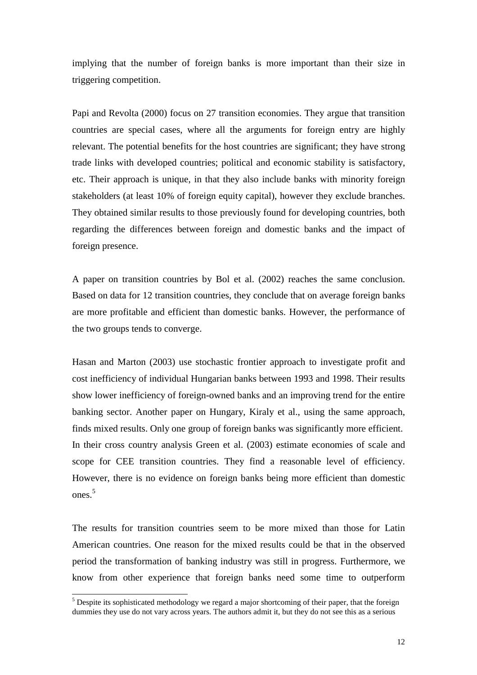<span id="page-11-0"></span>implying that the number of foreign banks is more important than their size in triggering competition.

Papi and Revolta (2000) focus on 27 transition economies. They argue that transition countries are special cases, where all the arguments for foreign entry are highly relevant. The potential benefits for the host countries are significant; they have strong trade links with developed countries; political and economic stability is satisfactory, etc. Their approach is unique, in that they also include banks with minority foreign stakeholders (at least 10% of foreign equity capital), however they exclude branches. They obtained similar results to those previously found for developing countries, both regarding the differences between foreign and domestic banks and the impact of foreign presence.

A paper on transition countries by Bol et al. (2002) reaches the same conclusion. Based on data for 12 transition countries, they conclude that on average foreign banks are more profitable and efficient than domestic banks. However, the performance of the two groups tends to converge.

Hasan and Marton (2003) use stochastic frontier approach to investigate profit and cost inefficiency of individual Hungarian banks between 1993 and 1998. Their results show lower inefficiency of foreign-owned banks and an improving trend for the entire banking sector. Another paper on Hungary, Kiraly et al., using the same approach, finds mixed results. Only one group of foreign banks was significantly more efficient. In their cross country analysis Green et al. (2003) estimate economies of scale and scope for CEE transition countries. They find a reasonable level of efficiency. However, there is no evidence on foreign banks being more efficient than domestic ones.[5](#page-11-0)

The results for transition countries seem to be more mixed than those for Latin American countries. One reason for the mixed results could be that in the observed period the transformation of banking industry was still in progress. Furthermore, we know from other experience that foreign banks need some time to outperform

 $\overline{a}$ 

<sup>&</sup>lt;sup>5</sup> Despite its sophisticated methodology we regard a major shortcoming of their paper, that the foreign dummies they use do not vary across years. The authors admit it, but they do not see this as a serious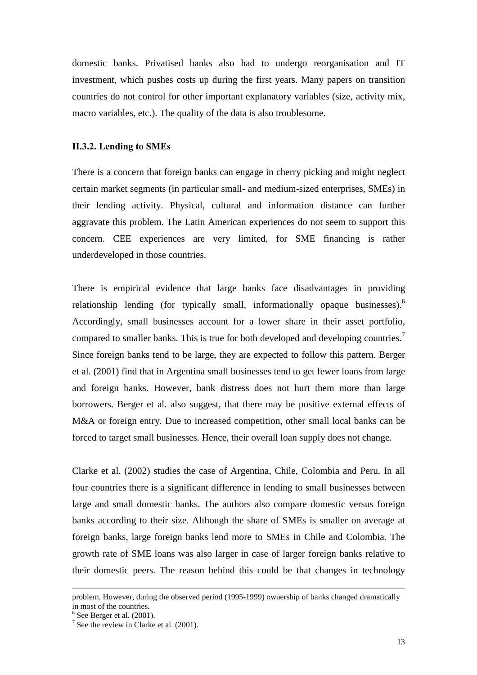domestic banks. Privatised banks also had to undergo reorganisation and IT investment, which pushes costs up during the first years. Many papers on transition countries do not control for other important explanatory variables (size, activity mix, macro variables, etc.). The quality of the data is also troublesome.

#### <span id="page-12-0"></span>**II.3.2. Lending to SMEs**

There is a concern that foreign banks can engage in cherry picking and might neglect certain market segments (in particular small- and medium-sized enterprises, SMEs) in their lending activity. Physical, cultural and information distance can further aggravate this problem. The Latin American experiences do not seem to support this concern. CEE experiences are very limited, for SME financing is rather underdeveloped in those countries.

There is empirical evidence that large banks face disadvantages in providing relationship lending (for typically small, informationally opaque businesses).<sup>[6](#page-12-1)</sup> Accordingly, small businesses account for a lower share in their asset portfolio, compared to smaller banks. This is true for both developed and developing countries.<sup>7</sup> Since foreign banks tend to be large, they are expected to follow this pattern. Berger et al. (2001) find that in Argentina small businesses tend to get fewer loans from large and foreign banks. However, bank distress does not hurt them more than large borrowers. Berger et al. also suggest, that there may be positive external effects of M&A or foreign entry. Due to increased competition, other small local banks can be forced to target small businesses. Hence, their overall loan supply does not change.

Clarke et al. (2002) studies the case of Argentina, Chile, Colombia and Peru. In all four countries there is a significant difference in lending to small businesses between large and small domestic banks. The authors also compare domestic versus foreign banks according to their size. Although the share of SMEs is smaller on average at foreign banks, large foreign banks lend more to SMEs in Chile and Colombia. The growth rate of SME loans was also larger in case of larger foreign banks relative to their domestic peers. The reason behind this could be that changes in technology

 $\overline{a}$ 

problem. However, during the observed period (1995-1999) ownership of banks changed dramatically in most of the countries.

<span id="page-12-1"></span> $6$  See Berger et al. (2001).

<span id="page-12-2"></span> $<sup>7</sup>$  See the review in Clarke et al. (2001).</sup>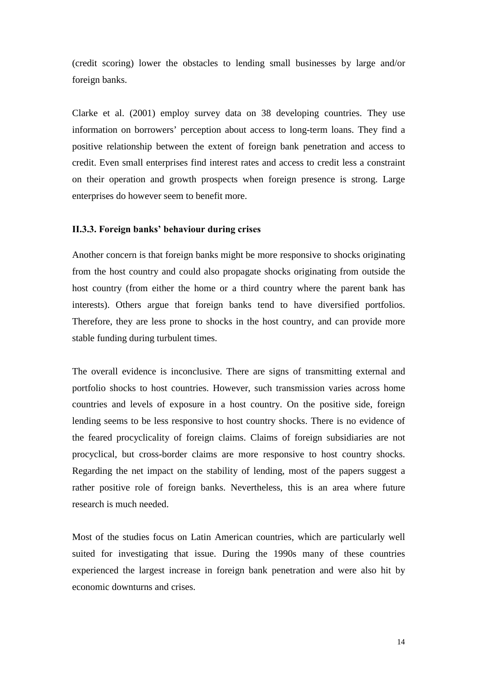(credit scoring) lower the obstacles to lending small businesses by large and/or foreign banks.

Clarke et al. (2001) employ survey data on 38 developing countries. They use information on borrowers' perception about access to long-term loans. They find a positive relationship between the extent of foreign bank penetration and access to credit. Even small enterprises find interest rates and access to credit less a constraint on their operation and growth prospects when foreign presence is strong. Large enterprises do however seem to benefit more.

### <span id="page-13-0"></span>**II.3.3. Foreign banks' behaviour during crises**

Another concern is that foreign banks might be more responsive to shocks originating from the host country and could also propagate shocks originating from outside the host country (from either the home or a third country where the parent bank has interests). Others argue that foreign banks tend to have diversified portfolios. Therefore, they are less prone to shocks in the host country, and can provide more stable funding during turbulent times.

The overall evidence is inconclusive. There are signs of transmitting external and portfolio shocks to host countries. However, such transmission varies across home countries and levels of exposure in a host country. On the positive side, foreign lending seems to be less responsive to host country shocks. There is no evidence of the feared procyclicality of foreign claims. Claims of foreign subsidiaries are not procyclical, but cross-border claims are more responsive to host country shocks. Regarding the net impact on the stability of lending, most of the papers suggest a rather positive role of foreign banks. Nevertheless, this is an area where future research is much needed.

Most of the studies focus on Latin American countries, which are particularly well suited for investigating that issue. During the 1990s many of these countries experienced the largest increase in foreign bank penetration and were also hit by economic downturns and crises.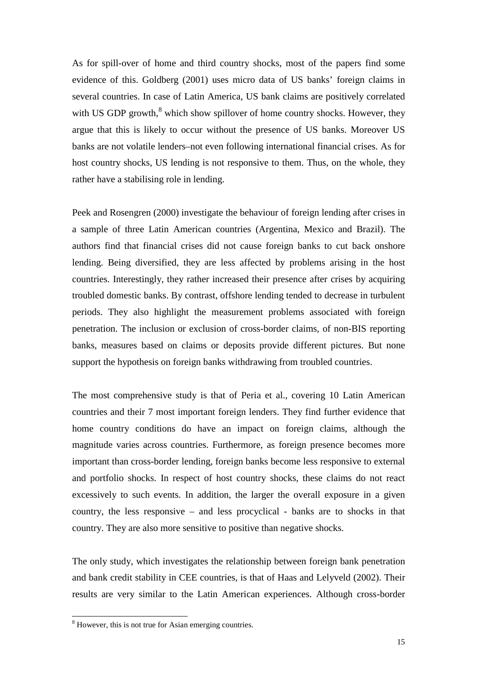As for spill-over of home and third country shocks, most of the papers find some evidence of this. Goldberg (2001) uses micro data of US banks' foreign claims in several countries. In case of Latin America, US bank claims are positively correlated with US GDP growth, ${}^{8}$  ${}^{8}$  ${}^{8}$  which show spillover of home country shocks. However, they argue that this is likely to occur without the presence of US banks. Moreover US banks are not volatile lenders–not even following international financial crises. As for host country shocks, US lending is not responsive to them. Thus, on the whole, they rather have a stabilising role in lending.

Peek and Rosengren (2000) investigate the behaviour of foreign lending after crises in a sample of three Latin American countries (Argentina, Mexico and Brazil). The authors find that financial crises did not cause foreign banks to cut back onshore lending. Being diversified, they are less affected by problems arising in the host countries. Interestingly, they rather increased their presence after crises by acquiring troubled domestic banks. By contrast, offshore lending tended to decrease in turbulent periods. They also highlight the measurement problems associated with foreign penetration. The inclusion or exclusion of cross-border claims, of non-BIS reporting banks, measures based on claims or deposits provide different pictures. But none support the hypothesis on foreign banks withdrawing from troubled countries.

The most comprehensive study is that of Peria et al., covering 10 Latin American countries and their 7 most important foreign lenders. They find further evidence that home country conditions do have an impact on foreign claims, although the magnitude varies across countries. Furthermore, as foreign presence becomes more important than cross-border lending, foreign banks become less responsive to external and portfolio shocks. In respect of host country shocks, these claims do not react excessively to such events. In addition, the larger the overall exposure in a given country, the less responsive – and less procyclical - banks are to shocks in that country. They are also more sensitive to positive than negative shocks.

The only study, which investigates the relationship between foreign bank penetration and bank credit stability in CEE countries, is that of Haas and Lelyveld (2002). Their results are very similar to the Latin American experiences. Although cross-border

 $\overline{a}$ 

<span id="page-14-0"></span><sup>&</sup>lt;sup>8</sup> However, this is not true for Asian emerging countries.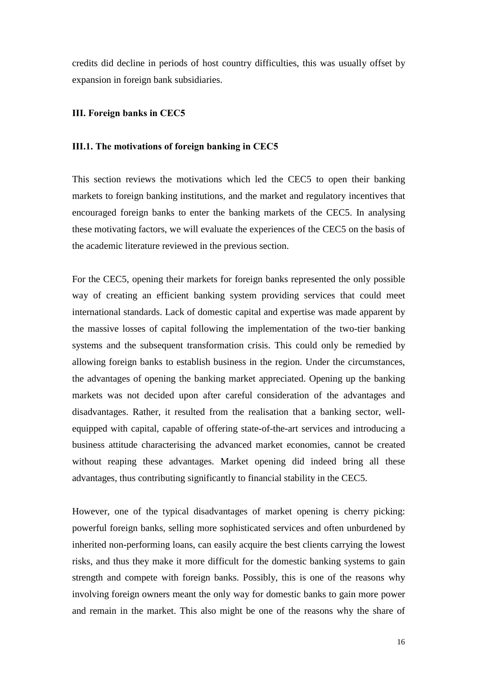credits did decline in periods of host country difficulties, this was usually offset by expansion in foreign bank subsidiaries.

#### <span id="page-15-0"></span>**III. Foreign banks in CEC5**

#### <span id="page-15-1"></span>**III.1. The motivations of foreign banking in CEC5**

This section reviews the motivations which led the CEC5 to open their banking markets to foreign banking institutions, and the market and regulatory incentives that encouraged foreign banks to enter the banking markets of the CEC5. In analysing these motivating factors, we will evaluate the experiences of the CEC5 on the basis of the academic literature reviewed in the previous section.

For the CEC5, opening their markets for foreign banks represented the only possible way of creating an efficient banking system providing services that could meet international standards. Lack of domestic capital and expertise was made apparent by the massive losses of capital following the implementation of the two-tier banking systems and the subsequent transformation crisis. This could only be remedied by allowing foreign banks to establish business in the region. Under the circumstances, the advantages of opening the banking market appreciated. Opening up the banking markets was not decided upon after careful consideration of the advantages and disadvantages. Rather, it resulted from the realisation that a banking sector, wellequipped with capital, capable of offering state-of-the-art services and introducing a business attitude characterising the advanced market economies, cannot be created without reaping these advantages. Market opening did indeed bring all these advantages, thus contributing significantly to financial stability in the CEC5.

However, one of the typical disadvantages of market opening is cherry picking: powerful foreign banks, selling more sophisticated services and often unburdened by inherited non-performing loans, can easily acquire the best clients carrying the lowest risks, and thus they make it more difficult for the domestic banking systems to gain strength and compete with foreign banks. Possibly, this is one of the reasons why involving foreign owners meant the only way for domestic banks to gain more power and remain in the market. This also might be one of the reasons why the share of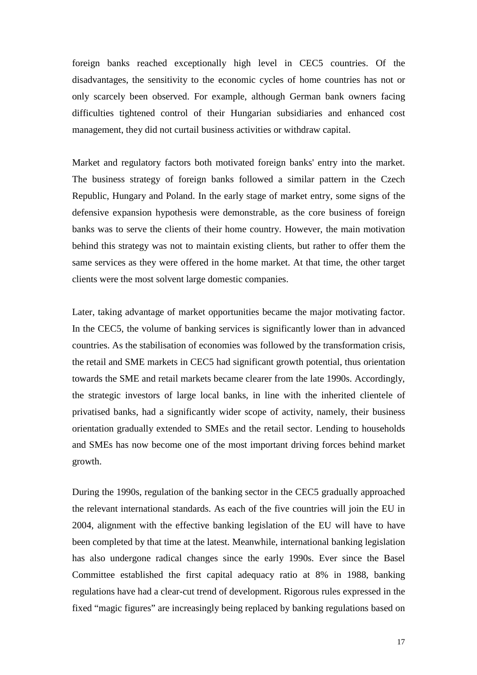foreign banks reached exceptionally high level in CEC5 countries. Of the disadvantages, the sensitivity to the economic cycles of home countries has not or only scarcely been observed. For example, although German bank owners facing difficulties tightened control of their Hungarian subsidiaries and enhanced cost management, they did not curtail business activities or withdraw capital.

Market and regulatory factors both motivated foreign banks' entry into the market. The business strategy of foreign banks followed a similar pattern in the Czech Republic, Hungary and Poland. In the early stage of market entry, some signs of the defensive expansion hypothesis were demonstrable, as the core business of foreign banks was to serve the clients of their home country. However, the main motivation behind this strategy was not to maintain existing clients, but rather to offer them the same services as they were offered in the home market. At that time, the other target clients were the most solvent large domestic companies.

Later, taking advantage of market opportunities became the major motivating factor. In the CEC5, the volume of banking services is significantly lower than in advanced countries. As the stabilisation of economies was followed by the transformation crisis, the retail and SME markets in CEC5 had significant growth potential, thus orientation towards the SME and retail markets became clearer from the late 1990s. Accordingly, the strategic investors of large local banks, in line with the inherited clientele of privatised banks, had a significantly wider scope of activity, namely, their business orientation gradually extended to SMEs and the retail sector. Lending to households and SMEs has now become one of the most important driving forces behind market growth.

During the 1990s, regulation of the banking sector in the CEC5 gradually approached the relevant international standards. As each of the five countries will join the EU in 2004, alignment with the effective banking legislation of the EU will have to have been completed by that time at the latest. Meanwhile, international banking legislation has also undergone radical changes since the early 1990s. Ever since the Basel Committee established the first capital adequacy ratio at 8% in 1988, banking regulations have had a clear-cut trend of development. Rigorous rules expressed in the fixed "magic figures" are increasingly being replaced by banking regulations based on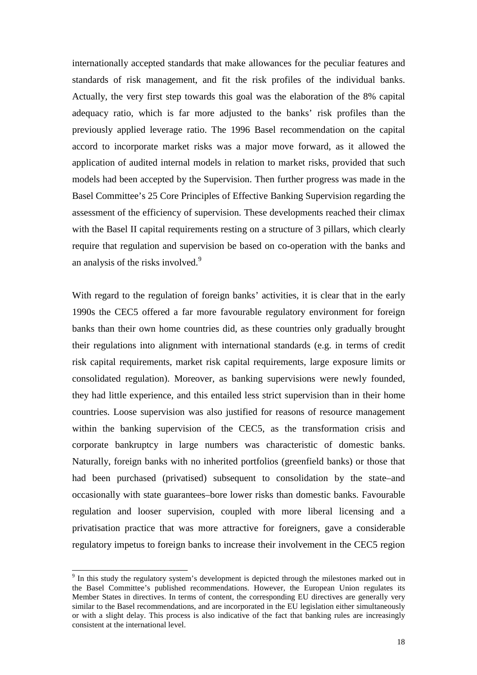internationally accepted standards that make allowances for the peculiar features and standards of risk management, and fit the risk profiles of the individual banks. Actually, the very first step towards this goal was the elaboration of the 8% capital adequacy ratio, which is far more adjusted to the banks' risk profiles than the previously applied leverage ratio. The 1996 Basel recommendation on the capital accord to incorporate market risks was a major move forward, as it allowed the application of audited internal models in relation to market risks, provided that such models had been accepted by the Supervision. Then further progress was made in the Basel Committee's 25 Core Principles of Effective Banking Supervision regarding the assessment of the efficiency of supervision. These developments reached their climax with the Basel II capital requirements resting on a structure of 3 pillars, which clearly require that regulation and supervision be based on co-operation with the banks and an analysis of the risks involved.<sup>[9](#page-17-0)</sup>

With regard to the regulation of foreign banks' activities, it is clear that in the early 1990s the CEC5 offered a far more favourable regulatory environment for foreign banks than their own home countries did, as these countries only gradually brought their regulations into alignment with international standards (e.g. in terms of credit risk capital requirements, market risk capital requirements, large exposure limits or consolidated regulation). Moreover, as banking supervisions were newly founded, they had little experience, and this entailed less strict supervision than in their home countries. Loose supervision was also justified for reasons of resource management within the banking supervision of the CEC5, as the transformation crisis and corporate bankruptcy in large numbers was characteristic of domestic banks. Naturally, foreign banks with no inherited portfolios (greenfield banks) or those that had been purchased (privatised) subsequent to consolidation by the state–and occasionally with state guarantees–bore lower risks than domestic banks. Favourable regulation and looser supervision, coupled with more liberal licensing and a privatisation practice that was more attractive for foreigners, gave a considerable regulatory impetus to foreign banks to increase their involvement in the CEC5 region

 $\overline{a}$ 

<span id="page-17-0"></span> $9<sup>9</sup>$  In this study the regulatory system's development is depicted through the milestones marked out in the Basel Committee's published recommendations. However, the European Union regulates its Member States in directives. In terms of content, the corresponding EU directives are generally very similar to the Basel recommendations, and are incorporated in the EU legislation either simultaneously or with a slight delay. This process is also indicative of the fact that banking rules are increasingly consistent at the international level.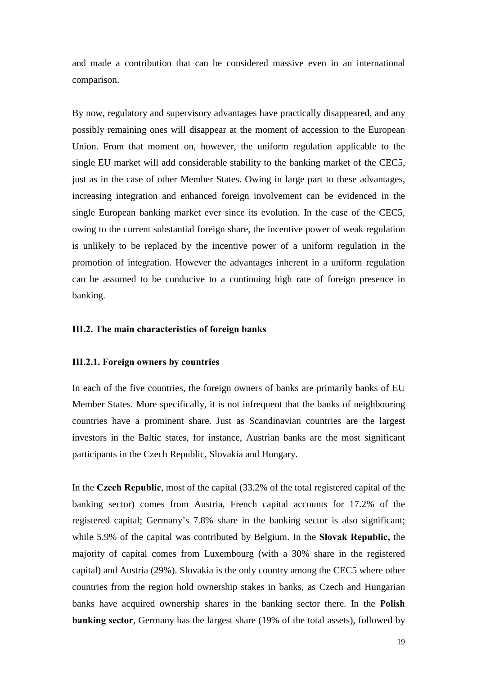and made a contribution that can be considered massive even in an international comparison.

By now, regulatory and supervisory advantages have practically disappeared, and any possibly remaining ones will disappear at the moment of accession to the European Union. From that moment on, however, the uniform regulation applicable to the single EU market will add considerable stability to the banking market of the CEC5, just as in the case of other Member States. Owing in large part to these advantages, increasing integration and enhanced foreign involvement can be evidenced in the single European banking market ever since its evolution. In the case of the CEC5, owing to the current substantial foreign share, the incentive power of weak regulation is unlikely to be replaced by the incentive power of a uniform regulation in the promotion of integration. However the advantages inherent in a uniform regulation can be assumed to be conducive to a continuing high rate of foreign presence in banking.

## <span id="page-18-0"></span>**III.2. The main characteristics of foreign banks**

#### <span id="page-18-1"></span>**III.2.1. Foreign owners by countries**

In each of the five countries, the foreign owners of banks are primarily banks of EU Member States. More specifically, it is not infrequent that the banks of neighbouring countries have a prominent share. Just as Scandinavian countries are the largest investors in the Baltic states, for instance, Austrian banks are the most significant participants in the Czech Republic, Slovakia and Hungary.

In the **Czech Republic**, most of the capital (33.2% of the total registered capital of the banking sector) comes from Austria, French capital accounts for 17.2% of the registered capital; Germany's 7.8% share in the banking sector is also significant; while 5.9% of the capital was contributed by Belgium. In the **Slovak Republic,** the majority of capital comes from Luxembourg (with a 30% share in the registered capital) and Austria (29%). Slovakia is the only country among the CEC5 where other countries from the region hold ownership stakes in banks, as Czech and Hungarian banks have acquired ownership shares in the banking sector there. In the **Polish banking sector**, Germany has the largest share (19% of the total assets), followed by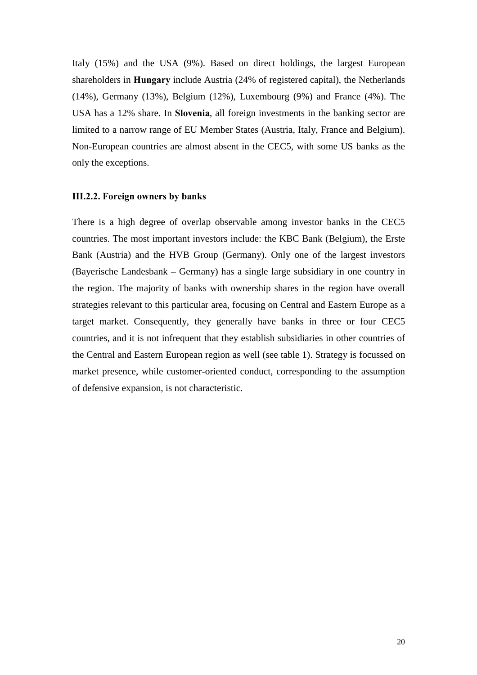Italy (15%) and the USA (9%). Based on direct holdings, the largest European shareholders in **Hungary** include Austria (24% of registered capital), the Netherlands (14%), Germany (13%), Belgium (12%), Luxembourg (9%) and France (4%). The USA has a 12% share. In **Slovenia**, all foreign investments in the banking sector are limited to a narrow range of EU Member States (Austria, Italy, France and Belgium). Non-European countries are almost absent in the CEC5, with some US banks as the only the exceptions.

#### <span id="page-19-0"></span>**III.2.2. Foreign owners by banks**

There is a high degree of overlap observable among investor banks in the CEC5 countries. The most important investors include: the KBC Bank (Belgium), the Erste Bank (Austria) and the HVB Group (Germany). Only one of the largest investors (Bayerische Landesbank – Germany) has a single large subsidiary in one country in the region. The majority of banks with ownership shares in the region have overall strategies relevant to this particular area, focusing on Central and Eastern Europe as a target market. Consequently, they generally have banks in three or four CEC5 countries, and it is not infrequent that they establish subsidiaries in other countries of the Central and Eastern European region as well (see table 1). Strategy is focussed on market presence, while customer-oriented conduct, corresponding to the assumption of defensive expansion, is not characteristic.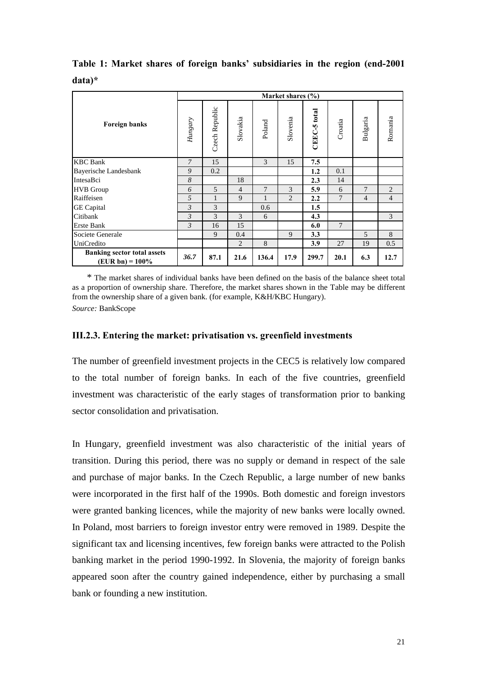|                                                          |                | Market shares $(\% )$ |                |        |                |              |                |                |                |
|----------------------------------------------------------|----------------|-----------------------|----------------|--------|----------------|--------------|----------------|----------------|----------------|
| <b>Foreign banks</b>                                     | Hungary        | Czech Republic        | Slovakia       | Poland | Slovenia       | CEEC-5 total | Croatia        | Bulgaria       | Romania        |
| <b>KBC</b> Bank                                          | 7              | 15                    |                | 3      | 15             | 7.5          |                |                |                |
| <b>Bayerische Landesbank</b>                             | 9              | 0.2                   |                |        |                | 1.2          | 0.1            |                |                |
| IntesaBci                                                | 8              |                       | 18             |        |                | 2.3          | 14             |                |                |
| <b>HVB</b> Group                                         | 6              | 5                     | 4              | 7      | 3              | 5.9          | 6              | 7              | $\overline{2}$ |
| Raiffeisen                                               | 5              | 1                     | $\overline{Q}$ | 1      | $\overline{2}$ | 2.2          | $\overline{7}$ | $\overline{4}$ | $\overline{4}$ |
| <b>GE</b> Capital                                        | $\mathfrak{Z}$ | 3                     |                | 0.6    |                | 1.5          |                |                |                |
| Citibank                                                 | 3              | 3                     | 3              | 6      |                | 4.3          |                |                | 3              |
| <b>Erste Bank</b>                                        | $\mathfrak{Z}$ | 16                    | 15             |        |                | 6.0          | $\overline{7}$ |                |                |
| Societe Generale                                         |                | 9                     | 0.4            |        | 9              | 3.3          |                | 5              | 8              |
| UniCredito                                               |                |                       | $\overline{2}$ | 8      |                | 3.9          | 27             | 19             | 0.5            |
| <b>Banking sector total assets</b><br>$(EUR bn) = 100\%$ | 36.7           | 87.1                  | 21.6           | 136.4  | 17.9           | 299.7        | 20.1           | 6.3            | 12.7           |

**Table 1: Market shares of foreign banks' subsidiaries in the region (end-2001 data)\***

*\** The market shares of individual banks have been defined on the basis of the balance sheet total as a proportion of ownership share. Therefore, the market shares shown in the Table may be different from the ownership share of a given bank. (for example, K&H/KBC Hungary). *Source:* BankScope

## <span id="page-20-0"></span>**III.2.3. Entering the market: privatisation vs. greenfield investments**

The number of greenfield investment projects in the CEC5 is relatively low compared to the total number of foreign banks. In each of the five countries, greenfield investment was characteristic of the early stages of transformation prior to banking sector consolidation and privatisation.

In Hungary, greenfield investment was also characteristic of the initial years of transition. During this period, there was no supply or demand in respect of the sale and purchase of major banks. In the Czech Republic, a large number of new banks were incorporated in the first half of the 1990s. Both domestic and foreign investors were granted banking licences, while the majority of new banks were locally owned. In Poland, most barriers to foreign investor entry were removed in 1989. Despite the significant tax and licensing incentives, few foreign banks were attracted to the Polish banking market in the period 1990-1992. In Slovenia, the majority of foreign banks appeared soon after the country gained independence, either by purchasing a small bank or founding a new institution.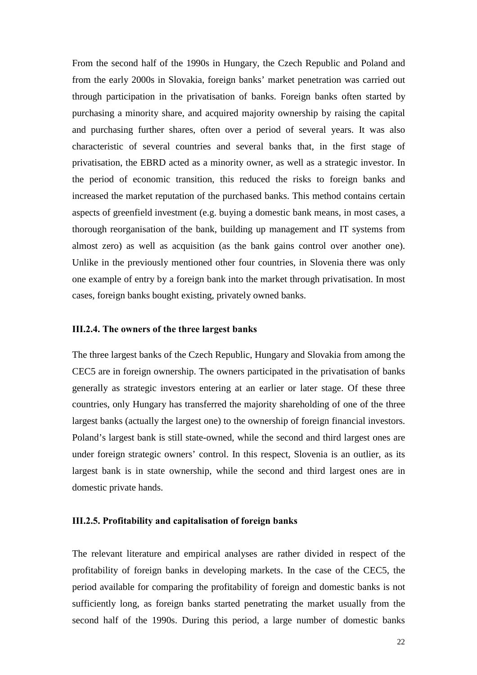From the second half of the 1990s in Hungary, the Czech Republic and Poland and from the early 2000s in Slovakia, foreign banks' market penetration was carried out through participation in the privatisation of banks. Foreign banks often started by purchasing a minority share, and acquired majority ownership by raising the capital and purchasing further shares, often over a period of several years. It was also characteristic of several countries and several banks that, in the first stage of privatisation, the EBRD acted as a minority owner, as well as a strategic investor. In the period of economic transition, this reduced the risks to foreign banks and increased the market reputation of the purchased banks. This method contains certain aspects of greenfield investment (e.g. buying a domestic bank means, in most cases, a thorough reorganisation of the bank, building up management and IT systems from almost zero) as well as acquisition (as the bank gains control over another one). Unlike in the previously mentioned other four countries, in Slovenia there was only one example of entry by a foreign bank into the market through privatisation. In most cases, foreign banks bought existing, privately owned banks.

### <span id="page-21-0"></span>**III.2.4. The owners of the three largest banks**

The three largest banks of the Czech Republic, Hungary and Slovakia from among the CEC5 are in foreign ownership. The owners participated in the privatisation of banks generally as strategic investors entering at an earlier or later stage. Of these three countries, only Hungary has transferred the majority shareholding of one of the three largest banks (actually the largest one) to the ownership of foreign financial investors. Poland's largest bank is still state-owned, while the second and third largest ones are under foreign strategic owners' control. In this respect, Slovenia is an outlier, as its largest bank is in state ownership, while the second and third largest ones are in domestic private hands.

#### <span id="page-21-1"></span>**III.2.5. Profitability and capitalisation of foreign banks**

The relevant literature and empirical analyses are rather divided in respect of the profitability of foreign banks in developing markets. In the case of the CEC5, the period available for comparing the profitability of foreign and domestic banks is not sufficiently long, as foreign banks started penetrating the market usually from the second half of the 1990s. During this period, a large number of domestic banks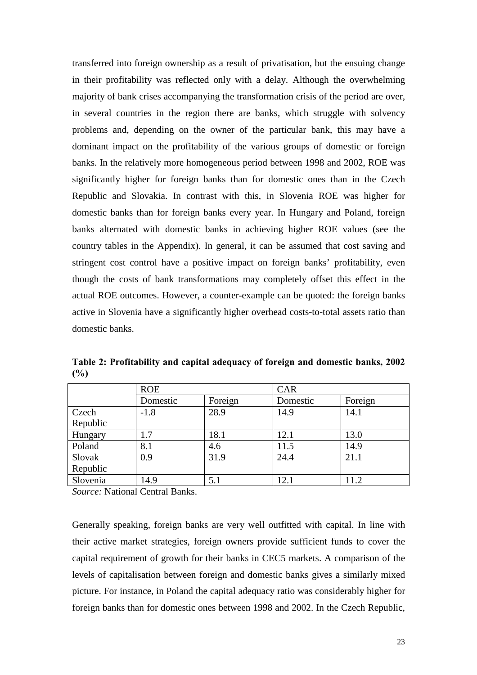transferred into foreign ownership as a result of privatisation, but the ensuing change in their profitability was reflected only with a delay. Although the overwhelming majority of bank crises accompanying the transformation crisis of the period are over, in several countries in the region there are banks, which struggle with solvency problems and, depending on the owner of the particular bank, this may have a dominant impact on the profitability of the various groups of domestic or foreign banks. In the relatively more homogeneous period between 1998 and 2002, ROE was significantly higher for foreign banks than for domestic ones than in the Czech Republic and Slovakia. In contrast with this, in Slovenia ROE was higher for domestic banks than for foreign banks every year. In Hungary and Poland, foreign banks alternated with domestic banks in achieving higher ROE values (see the country tables in the Appendix). In general, it can be assumed that cost saving and stringent cost control have a positive impact on foreign banks' profitability, even though the costs of bank transformations may completely offset this effect in the actual ROE outcomes. However, a counter-example can be quoted: the foreign banks active in Slovenia have a significantly higher overhead costs-to-total assets ratio than domestic banks.

|          | <b>ROE</b> |         | <b>CAR</b> |         |  |
|----------|------------|---------|------------|---------|--|
|          | Domestic   | Foreign | Domestic   | Foreign |  |
| Czech    | $-1.8$     | 28.9    | 14.9       | 14.1    |  |
| Republic |            |         |            |         |  |
| Hungary  | 1.7        | 18.1    | 12.1       | 13.0    |  |
| Poland   | 8.1        | 4.6     | 11.5       | 14.9    |  |
| Slovak   | 0.9        | 31.9    | 24.4       | 21.1    |  |
| Republic |            |         |            |         |  |
| Slovenia | 14.9       | 5.1     | 12.1       | 11.2    |  |

**Table 2: Profitability and capital adequacy of foreign and domestic banks, 2002 (%)**

*Source:* National Central Banks.

Generally speaking, foreign banks are very well outfitted with capital. In line with their active market strategies, foreign owners provide sufficient funds to cover the capital requirement of growth for their banks in CEC5 markets. A comparison of the levels of capitalisation between foreign and domestic banks gives a similarly mixed picture. For instance, in Poland the capital adequacy ratio was considerably higher for foreign banks than for domestic ones between 1998 and 2002. In the Czech Republic,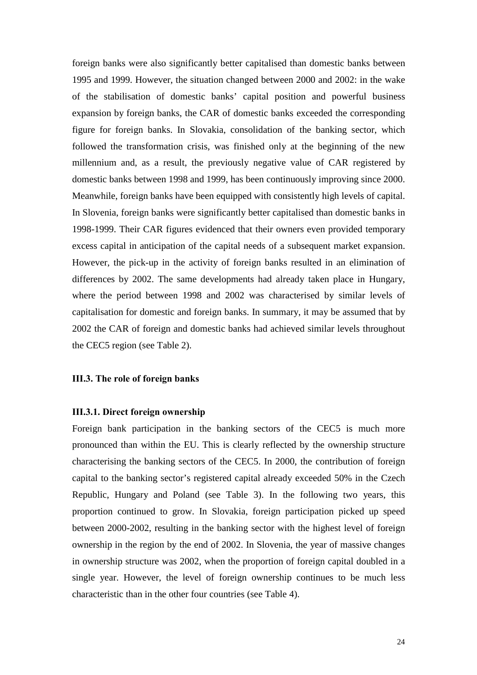foreign banks were also significantly better capitalised than domestic banks between 1995 and 1999. However, the situation changed between 2000 and 2002: in the wake of the stabilisation of domestic banks' capital position and powerful business expansion by foreign banks, the CAR of domestic banks exceeded the corresponding figure for foreign banks. In Slovakia, consolidation of the banking sector, which followed the transformation crisis, was finished only at the beginning of the new millennium and, as a result, the previously negative value of CAR registered by domestic banks between 1998 and 1999, has been continuously improving since 2000. Meanwhile, foreign banks have been equipped with consistently high levels of capital. In Slovenia, foreign banks were significantly better capitalised than domestic banks in 1998-1999. Their CAR figures evidenced that their owners even provided temporary excess capital in anticipation of the capital needs of a subsequent market expansion. However, the pick-up in the activity of foreign banks resulted in an elimination of differences by 2002. The same developments had already taken place in Hungary, where the period between 1998 and 2002 was characterised by similar levels of capitalisation for domestic and foreign banks. In summary, it may be assumed that by 2002 the CAR of foreign and domestic banks had achieved similar levels throughout the CEC5 region (see Table 2).

#### <span id="page-23-0"></span>**III.3. The role of foreign banks**

#### <span id="page-23-1"></span>**III.3.1. Direct foreign ownership**

Foreign bank participation in the banking sectors of the CEC5 is much more pronounced than within the EU. This is clearly reflected by the ownership structure characterising the banking sectors of the CEC5. In 2000, the contribution of foreign capital to the banking sector's registered capital already exceeded 50% in the Czech Republic, Hungary and Poland (see Table 3). In the following two years, this proportion continued to grow. In Slovakia, foreign participation picked up speed between 2000-2002, resulting in the banking sector with the highest level of foreign ownership in the region by the end of 2002. In Slovenia, the year of massive changes in ownership structure was 2002, when the proportion of foreign capital doubled in a single year. However, the level of foreign ownership continues to be much less characteristic than in the other four countries (see Table 4).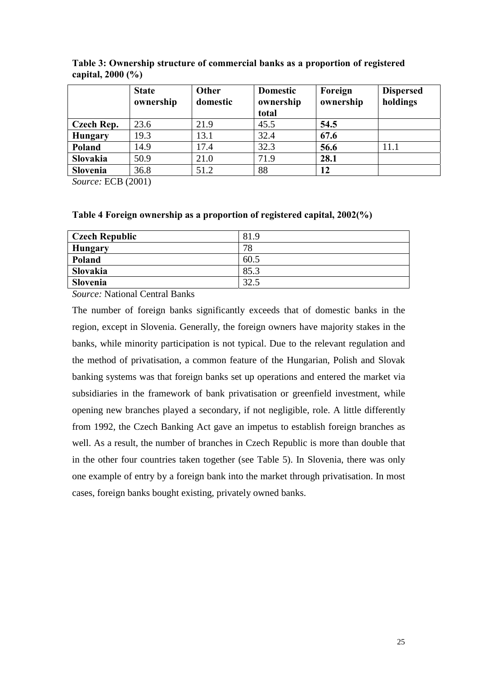|                   | <b>State</b><br>ownership | Other<br>domestic | <b>Domestic</b><br>ownership<br>total | Foreign<br>ownership | <b>Dispersed</b><br>holdings |
|-------------------|---------------------------|-------------------|---------------------------------------|----------------------|------------------------------|
| <b>Czech Rep.</b> | 23.6                      | 21.9              | 45.5                                  | 54.5                 |                              |
| <b>Hungary</b>    | 19.3                      | 13.1              | 32.4                                  | 67.6                 |                              |
| Poland            | 14.9                      | 17.4              | 32.3                                  | 56.6                 | 11.1                         |
| Slovakia          | 50.9                      | 21.0              | 71.9                                  | 28.1                 |                              |
| Slovenia          | 36.8                      | 51.2              | 88                                    | 12                   |                              |

**Table 3: Ownership structure of commercial banks as a proportion of registered capital, 2000 (%)**

*Source:* ECB (2001)

### **Table 4 Foreign ownership as a proportion of registered capital, 2002(%)**

| <b>Czech Republic</b> | 81.9         |
|-----------------------|--------------|
| <b>Hungary</b>        | 78           |
| Poland                | 60.5         |
| Slovakia              | 85.3         |
| Slovenia              | 30<br>⊶، کەك |

*Source:* National Central Banks

The number of foreign banks significantly exceeds that of domestic banks in the region, except in Slovenia. Generally, the foreign owners have majority stakes in the banks, while minority participation is not typical. Due to the relevant regulation and the method of privatisation, a common feature of the Hungarian, Polish and Slovak banking systems was that foreign banks set up operations and entered the market via subsidiaries in the framework of bank privatisation or greenfield investment, while opening new branches played a secondary, if not negligible, role. A little differently from 1992, the Czech Banking Act gave an impetus to establish foreign branches as well. As a result, the number of branches in Czech Republic is more than double that in the other four countries taken together (see Table 5). In Slovenia, there was only one example of entry by a foreign bank into the market through privatisation. In most cases, foreign banks bought existing, privately owned banks.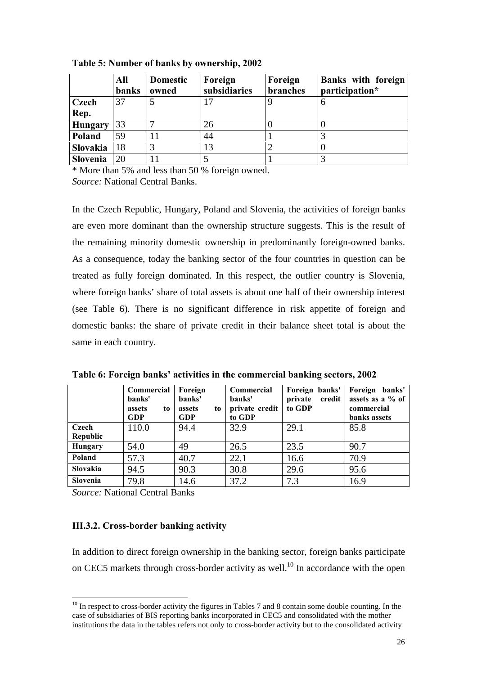|                | All<br><b>banks</b> | <b>Domestic</b><br>owned | Foreign<br>subsidiaries | Foreign<br>branches | Banks with foreign<br>participation* |
|----------------|---------------------|--------------------------|-------------------------|---------------------|--------------------------------------|
| <b>Czech</b>   | 37                  |                          |                         |                     | 6                                    |
| Rep.           |                     |                          |                         |                     |                                      |
| <b>Hungary</b> | 33                  |                          | 26                      |                     |                                      |
| Poland         | 59                  | 11                       | 44                      |                     |                                      |
| Slovakia       | 18                  |                          | 13                      |                     |                                      |
| Slovenia       | 20                  |                          |                         |                     |                                      |

<span id="page-25-1"></span>**Table 5: Number of banks by ownership, 2002**

\* More than 5% and less than 50 % foreign owned. *Source:* National Central Banks.

In the Czech Republic, Hungary, Poland and Slovenia, the activities of foreign banks are even more dominant than the ownership structure suggests. This is the result of the remaining minority domestic ownership in predominantly foreign-owned banks. As a consequence, today the banking sector of the four countries in question can be treated as fully foreign dominated. In this respect, the outlier country is Slovenia, where foreign banks' share of total assets is about one half of their ownership interest (see Table 6). There is no significant difference in risk appetite of foreign and domestic banks: the share of private credit in their balance sheet total is about the same in each country.

|                 | Commercial<br>banks'<br>assets<br>to<br><b>GDP</b> | Foreign<br>banks'<br>assets<br>to<br>GDP | Commercial<br>banks'<br>private credit<br>to GDP | Foreign banks'<br>private<br>credit<br>to GDP | Foreign banks'<br>assets as a $%$ of<br>commercial<br>banks assets |
|-----------------|----------------------------------------------------|------------------------------------------|--------------------------------------------------|-----------------------------------------------|--------------------------------------------------------------------|
| Czech           | 110.0                                              | 94.4                                     | 32.9                                             | 29.1                                          | 85.8                                                               |
| <b>Republic</b> |                                                    |                                          |                                                  |                                               |                                                                    |
| Hungary         | 54.0                                               | 49                                       | 26.5                                             | 23.5                                          | 90.7                                                               |
| Poland          | 57.3                                               | 40.7                                     | 22.1                                             | 16.6                                          | 70.9                                                               |
| Slovakia        | 94.5                                               | 90.3                                     | 30.8                                             | 29.6                                          | 95.6                                                               |
| <b>Slovenia</b> | 79.8                                               | 14.6                                     | 37.2                                             | 7.3                                           | 16.9                                                               |

**Table 6: Foreign banks' activities in the commercial banking sectors, 2002**

*Source:* National Central Banks

l

## <span id="page-25-0"></span>**III.3.2. Cross-border banking activity**

In addition to direct foreign ownership in the banking sector, foreign banks participate on CEC5 markets through cross-border activity as well.<sup>10</sup> In accordance with the open

 $10$  In respect to cross-border activity the figures in Tables 7 and 8 contain some double counting. In the case of subsidiaries of BIS reporting banks incorporated in CEC5 and consolidated with the mother institutions the data in the tables refers not only to cross-border activity but to the consolidated activity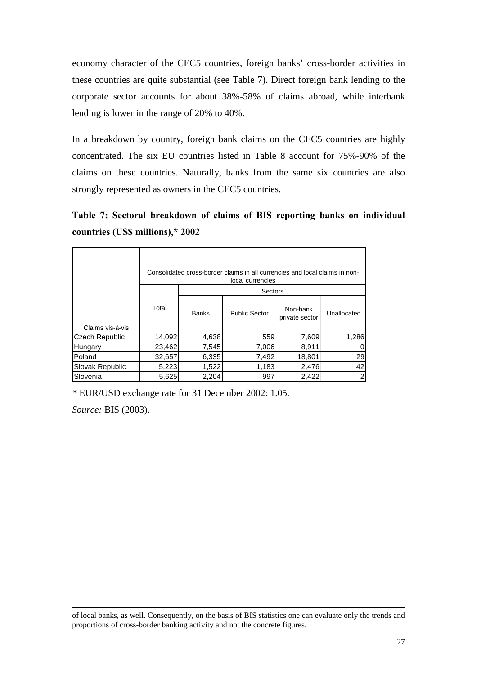economy character of the CEC5 countries, foreign banks' cross-border activities in these countries are quite substantial (see Table 7). Direct foreign bank lending to the corporate sector accounts for about 38%-58% of claims abroad, while interbank lending is lower in the range of 20% to 40%.

In a breakdown by country, foreign bank claims on the CEC5 countries are highly concentrated. The six EU countries listed in Table 8 account for 75%-90% of the claims on these countries. Naturally, banks from the same six countries are also strongly represented as owners in the CEC5 countries.

**Table 7: Sectoral breakdown of claims of BIS reporting banks on individual countries (US\$ millions),\* 2002**

|                  |        |              | Consolidated cross-border claims in all currencies and local claims in non-<br>local currencies |                            |             |
|------------------|--------|--------------|-------------------------------------------------------------------------------------------------|----------------------------|-------------|
|                  |        | Sectors      |                                                                                                 |                            |             |
| Claims vis-á-vis | Total  | <b>Banks</b> | <b>Public Sector</b>                                                                            | Non-bank<br>private sector | Unallocated |
| Czech Republic   | 14,092 | 4,638        | 559                                                                                             | 7,609                      | 1,286       |
| Hungary          | 23,462 | 7,545        | 7,006                                                                                           | 8,911                      |             |
| Poland           | 32,657 | 6,335        | 7,492                                                                                           | 18,801                     | 29          |
| Slovak Republic  | 5,223  | 1,522        | 1,183                                                                                           | 2,476                      | 42          |
| Slovenia         | 5,625  | 2,204        | 997                                                                                             | 2,422                      | 2           |

*\** EUR/USD exchange rate for 31 December 2002: 1.05.

*Source:* BIS (2003).

 $\overline{a}$ 

of local banks, as well. Consequently, on the basis of BIS statistics one can evaluate only the trends and proportions of cross-border banking activity and not the concrete figures.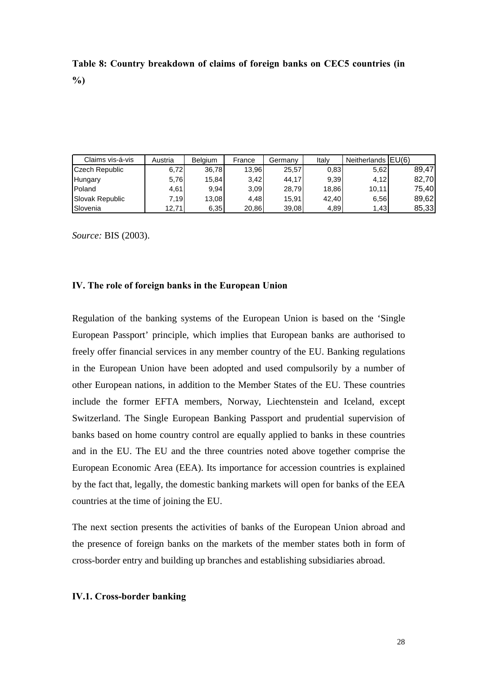# <span id="page-27-0"></span>**Table 8: Country breakdown of claims of foreign banks on CEC5 countries (in %)**

| Claims vis-á-vis | Austria | <b>Belaium</b> | France | Germany | Italv | Neitherlands EU(6) |       |
|------------------|---------|----------------|--------|---------|-------|--------------------|-------|
| Czech Republic   | 6,72    | 36.78          | 13,96  | 25,57   | 0.83  | 5.62               | 89.47 |
| Hungary          | 5,76    | 15,84          | 3,42   | 44,17   | 9,39  | 4,12               | 82,70 |
| Poland           | 4,61    | 9,94           | 3,09   | 28,79   | 18,86 | 10.11              | 75,40 |
| Slovak Republic  | 7,19    | 13,08          | 4.48   | 15.91   | 42,40 | 6,56               | 89,62 |
| Slovenia         | 12.71   | 6,35           | 20.86  | 39.08   | 4,89  | 1.43               | 85,33 |

*Source:* BIS (2003).

### **IV. The role of foreign banks in the European Union**

<span id="page-27-1"></span>Regulation of the banking systems of the European Union is based on the 'Single European Passport' principle, which implies that European banks are authorised to freely offer financial services in any member country of the EU. Banking regulations in the European Union have been adopted and used compulsorily by a number of other European nations, in addition to the Member States of the EU. These countries include the former EFTA members, Norway, Liechtenstein and Iceland, except Switzerland. The Single European Banking Passport and prudential supervision of banks based on home country control are equally applied to banks in these countries and in the EU. The EU and the three countries noted above together comprise the European Economic Area (EEA). Its importance for accession countries is explained by the fact that, legally, the domestic banking markets will open for banks of the EEA countries at the time of joining the EU.

The next section presents the activities of banks of the European Union abroad and the presence of foreign banks on the markets of the member states both in form of cross-border entry and building up branches and establishing subsidiaries abroad.

## **IV.1. Cross-border banking**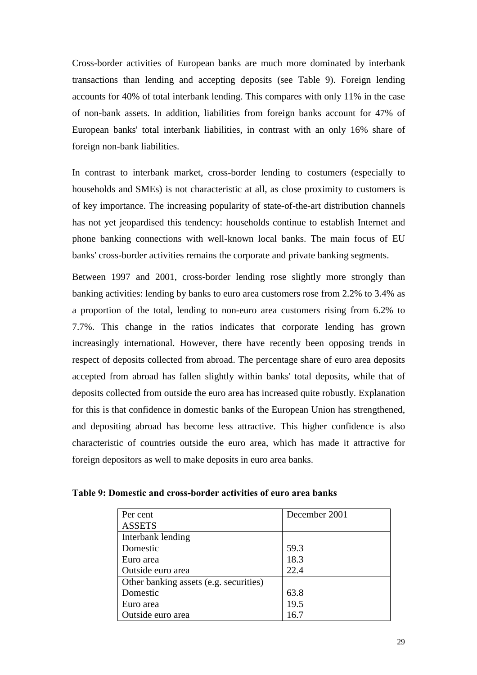Cross-border activities of European banks are much more dominated by interbank transactions than lending and accepting deposits (see Table 9). Foreign lending accounts for 40% of total interbank lending. This compares with only 11% in the case of non-bank assets. In addition, liabilities from foreign banks account for 47% of European banks' total interbank liabilities, in contrast with an only 16% share of foreign non-bank liabilities.

In contrast to interbank market, cross-border lending to costumers (especially to households and SMEs) is not characteristic at all, as close proximity to customers is of key importance. The increasing popularity of state-of-the-art distribution channels has not yet jeopardised this tendency: households continue to establish Internet and phone banking connections with well-known local banks. The main focus of EU banks' cross-border activities remains the corporate and private banking segments.

Between 1997 and 2001, cross-border lending rose slightly more strongly than banking activities: lending by banks to euro area customers rose from 2.2% to 3.4% as a proportion of the total, lending to non-euro area customers rising from 6.2% to 7.7%. This change in the ratios indicates that corporate lending has grown increasingly international. However, there have recently been opposing trends in respect of deposits collected from abroad. The percentage share of euro area deposits accepted from abroad has fallen slightly within banks' total deposits, while that of deposits collected from outside the euro area has increased quite robustly. Explanation for this is that confidence in domestic banks of the European Union has strengthened, and depositing abroad has become less attractive. This higher confidence is also characteristic of countries outside the euro area, which has made it attractive for foreign depositors as well to make deposits in euro area banks.

| Per cent                               | December 2001 |
|----------------------------------------|---------------|
| <b>ASSETS</b>                          |               |
| Interbank lending                      |               |
| Domestic                               | 59.3          |
| Euro area                              | 18.3          |
| Outside euro area                      | 22.4          |
| Other banking assets (e.g. securities) |               |
| Domestic                               | 63.8          |
| Euro area                              | 19.5          |
| Outside euro area                      | 16.7          |

**Table 9: Domestic and cross-border activities of euro area banks**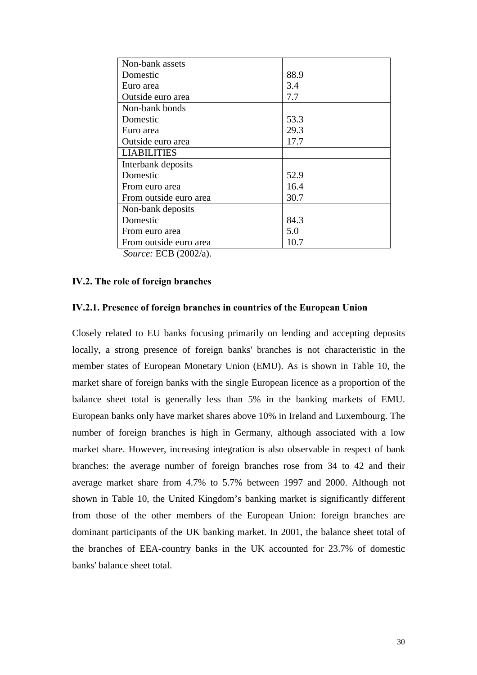<span id="page-29-1"></span><span id="page-29-0"></span>

| Non-bank assets        |      |
|------------------------|------|
| Domestic               | 88.9 |
| Euro area              | 3.4  |
| Outside euro area      | 7.7  |
| Non-bank bonds         |      |
| Domestic               | 53.3 |
| Euro area              | 29.3 |
| Outside euro area      | 17.7 |
| <b>LIABILITIES</b>     |      |
| Interbank deposits     |      |
| Domestic               | 52.9 |
| From euro area         | 16.4 |
| From outside euro area | 30.7 |
| Non-bank deposits      |      |
| Domestic               | 84.3 |
| From euro area         | 5.0  |
| From outside euro area | 10.7 |
| $\sim$<br>PCD(0001)    |      |

*Source:* ECB (2002/a).

#### **IV.2. The role of foreign branches**

#### **IV.2.1. Presence of foreign branches in countries of the European Union**

Closely related to EU banks focusing primarily on lending and accepting deposits locally, a strong presence of foreign banks' branches is not characteristic in the member states of European Monetary Union (EMU). As is shown in Table 10, the market share of foreign banks with the single European licence as a proportion of the balance sheet total is generally less than 5% in the banking markets of EMU. European banks only have market shares above 10% in Ireland and Luxembourg. The number of foreign branches is high in Germany, although associated with a low market share. However, increasing integration is also observable in respect of bank branches: the average number of foreign branches rose from 34 to 42 and their average market share from 4.7% to 5.7% between 1997 and 2000. Although not shown in Table 10, the United Kingdom's banking market is significantly different from those of the other members of the European Union: foreign branches are dominant participants of the UK banking market. In 2001, the balance sheet total of the branches of EEA-country banks in the UK accounted for 23.7% of domestic banks' balance sheet total.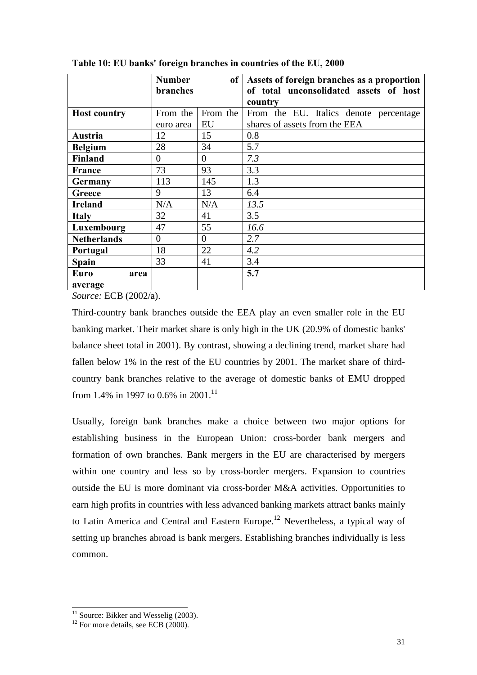|                     | <b>Number</b> | of       | Assets of foreign branches as a proportion |
|---------------------|---------------|----------|--------------------------------------------|
|                     | branches      |          | of total unconsolidated assets of host     |
|                     |               |          | country                                    |
| <b>Host country</b> | From the      | From the | From the EU. Italics denote percentage     |
|                     | euro area     | EU       | shares of assets from the EEA              |
| Austria             | 12            | 15       | 0.8                                        |
| <b>Belgium</b>      | 28            | 34       | 5.7                                        |
| <b>Finland</b>      | 0             | $\theta$ | 7.3                                        |
| <b>France</b>       | 73            | 93       | 3.3                                        |
| Germany             | 113           | 145      | 1.3                                        |
| Greece              | 9             | 13       | 6.4                                        |
| <b>Ireland</b>      | N/A           | N/A      | 13.5                                       |
| <b>Italy</b>        | 32            | 41       | 3.5                                        |
| Luxembourg          | 47            | 55       | 16.6                                       |
| <b>Netherlands</b>  | $\Omega$      | $\Omega$ | 2.7                                        |
| Portugal            | 18            | 22       | 4.2                                        |
| <b>Spain</b>        | 33            | 41       | 3.4                                        |
| Euro<br>area        |               |          | 5.7                                        |
| average             |               |          |                                            |

**Table 10: EU banks' foreign branches in countries of the EU, 2000**

*Source:* ECB (2002/a).

<span id="page-30-0"></span>Third-country bank branches outside the EEA play an even smaller role in the EU banking market. Their market share is only high in the UK (20.9% of domestic banks' balance sheet total in 2001). By contrast, showing a declining trend, market share had fallen below 1% in the rest of the EU countries by 2001. The market share of thirdcountry bank branches relative to the average of domestic banks of EMU dropped from 1.4% in 1997 to 0.6% in 2001.<sup>11</sup>

Usually, foreign bank branches make a choice between two major options for establishing business in the European Union: cross-border bank mergers and formation of own branches. Bank mergers in the EU are characterised by mergers within one country and less so by cross-border mergers. Expansion to countries outside the EU is more dominant via cross-border M&A activities. Opportunities to earn high profits in countries with less advanced banking markets attract banks mainly to Latin America and Central and Eastern Europe.<sup>12</sup> Nevertheless, a typical way of setting up branches abroad is bank mergers. Establishing branches individually is less common.

 $\overline{a}$ 

<span id="page-30-1"></span><sup>&</sup>lt;sup>11</sup> Source: Bikker and Wesselig (2003).<br><sup>12</sup> For more details, see ECB (2000).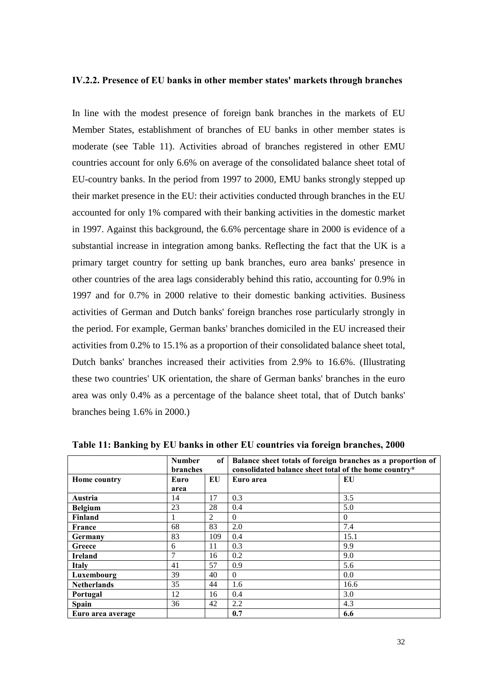#### **IV.2.2. Presence of EU banks in other member states' markets through branches**

In line with the modest presence of foreign bank branches in the markets of EU Member States, establishment of branches of EU banks in other member states is moderate (see Table 11). Activities abroad of branches registered in other EMU countries account for only 6.6% on average of the consolidated balance sheet total of EU-country banks. In the period from 1997 to 2000, EMU banks strongly stepped up their market presence in the EU: their activities conducted through branches in the EU accounted for only 1% compared with their banking activities in the domestic market in 1997. Against this background, the 6.6% percentage share in 2000 is evidence of a substantial increase in integration among banks. Reflecting the fact that the UK is a primary target country for setting up bank branches, euro area banks' presence in other countries of the area lags considerably behind this ratio, accounting for 0.9% in 1997 and for 0.7% in 2000 relative to their domestic banking activities. Business activities of German and Dutch banks' foreign branches rose particularly strongly in the period. For example, German banks' branches domiciled in the EU increased their activities from 0.2% to 15.1% as a proportion of their consolidated balance sheet total, Dutch banks' branches increased their activities from 2.9% to 16.6%. (Illustrating these two countries' UK orientation, the share of German banks' branches in the euro area was only 0.4% as a percentage of the balance sheet total, that of Dutch banks' branches being 1.6% in 2000.)

|                    | <b>Number</b><br>branches | of  | Balance sheet totals of foreign branches as a proportion of<br>consolidated balance sheet total of the home country* |          |
|--------------------|---------------------------|-----|----------------------------------------------------------------------------------------------------------------------|----------|
| Home country       | Euro                      | EU  | Euro area                                                                                                            | EU       |
| Austria            | area<br>14                | 17  | 0.3                                                                                                                  | 3.5      |
| <b>Belgium</b>     | 23                        | 28  | 0.4                                                                                                                  | 5.0      |
| Finland            |                           | 2   | $\Omega$                                                                                                             | $\Omega$ |
| France             | 68                        | 83  | 2.0                                                                                                                  | 7.4      |
| Germany            | 83                        | 109 | 0.4                                                                                                                  | 15.1     |
| Greece             | 6                         | 11  | 0.3                                                                                                                  | 9.9      |
| <b>Ireland</b>     | 7                         | 16  | 0.2                                                                                                                  | 9.0      |
| <b>Italy</b>       | 41                        | 57  | 0.9                                                                                                                  | 5.6      |
| Luxembourg         | 39                        | 40  | $\Omega$                                                                                                             | 0.0      |
| <b>Netherlands</b> | 35                        | 44  | 1.6                                                                                                                  | 16.6     |
| Portugal           | 12                        | 16  | 0.4                                                                                                                  | 3.0      |
| <b>Spain</b>       | 36                        | 42  | 2.2                                                                                                                  | 4.3      |
| Euro area average  |                           |     | 0.7                                                                                                                  | 6.6      |

<span id="page-31-0"></span>**Table 11: Banking by EU banks in other EU countries via foreign branches, 2000**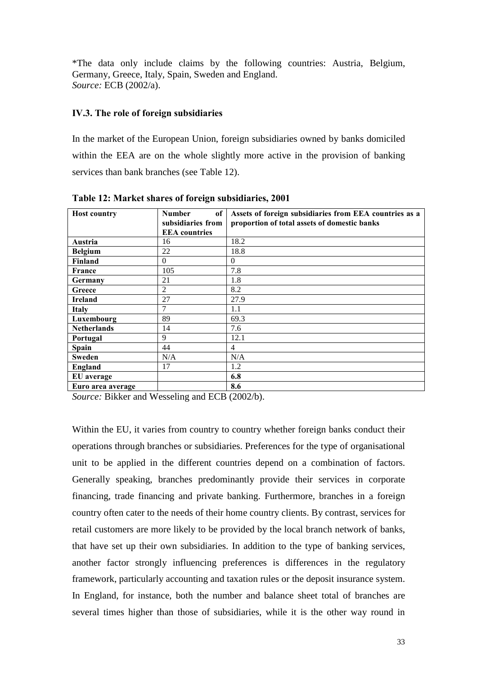\*The data only include claims by the following countries: Austria, Belgium, Germany, Greece, Italy, Spain, Sweden and England. *Source:* ECB (2002/a).

## **IV.3. The role of foreign subsidiaries**

In the market of the European Union, foreign subsidiaries owned by banks domiciled within the EEA are on the whole slightly more active in the provision of banking services than bank branches (see Table 12).

| <b>Host country</b> | of<br><b>Number</b>  | Assets of foreign subsidiaries from EEA countries as a |
|---------------------|----------------------|--------------------------------------------------------|
|                     | subsidiaries from    | proportion of total assets of domestic banks           |
|                     | <b>EEA</b> countries |                                                        |
| Austria             | 16                   | 18.2                                                   |
| <b>Belgium</b>      | 22                   | 18.8                                                   |
| Finland             | $\Omega$             | $\Omega$                                               |
| France              | 105                  | 7.8                                                    |
| Germany             | 21                   | 1.8                                                    |
| Greece              | $\overline{c}$       | 8.2                                                    |
| <b>Ireland</b>      | 27                   | 27.9                                                   |
| <b>Italy</b>        | 7                    | 1.1                                                    |
| Luxembourg          | 89                   | 69.3                                                   |
| <b>Netherlands</b>  | 14                   | 7.6                                                    |
| Portugal            | 9                    | 12.1                                                   |
| <b>Spain</b>        | 44                   | $\overline{4}$                                         |
| <b>Sweden</b>       | N/A                  | N/A                                                    |
| England             | 17                   | 1.2                                                    |
| EU average          |                      | 6.8                                                    |
| Euro area average   |                      | 8.6                                                    |

**Table 12: Market shares of foreign subsidiaries, 2001**

*Source:* Bikker and Wesseling and ECB (2002/b).

Within the EU, it varies from country to country whether foreign banks conduct their operations through branches or subsidiaries. Preferences for the type of organisational unit to be applied in the different countries depend on a combination of factors. Generally speaking, branches predominantly provide their services in corporate financing, trade financing and private banking. Furthermore, branches in a foreign country often cater to the needs of their home country clients. By contrast, services for retail customers are more likely to be provided by the local branch network of banks, that have set up their own subsidiaries. In addition to the type of banking services, another factor strongly influencing preferences is differences in the regulatory framework, particularly accounting and taxation rules or the deposit insurance system. In England, for instance, both the number and balance sheet total of branches are several times higher than those of subsidiaries, while it is the other way round in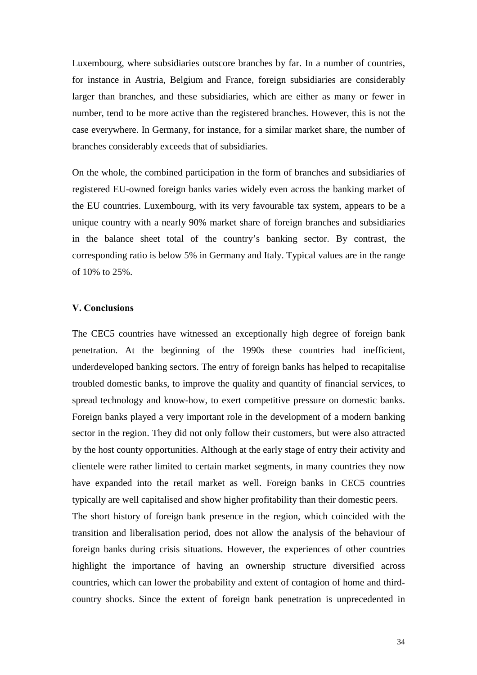Luxembourg, where subsidiaries outscore branches by far. In a number of countries, for instance in Austria, Belgium and France, foreign subsidiaries are considerably larger than branches, and these subsidiaries, which are either as many or fewer in number, tend to be more active than the registered branches. However, this is not the case everywhere. In Germany, for instance, for a similar market share, the number of branches considerably exceeds that of subsidiaries.

<span id="page-33-0"></span>On the whole, the combined participation in the form of branches and subsidiaries of registered EU-owned foreign banks varies widely even across the banking market of the EU countries. Luxembourg, with its very favourable tax system, appears to be a unique country with a nearly 90% market share of foreign branches and subsidiaries in the balance sheet total of the country's banking sector. By contrast, the corresponding ratio is below 5% in Germany and Italy. Typical values are in the range of 10% to 25%.

#### **V. Conclusions**

The CEC5 countries have witnessed an exceptionally high degree of foreign bank penetration. At the beginning of the 1990s these countries had inefficient, underdeveloped banking sectors. The entry of foreign banks has helped to recapitalise troubled domestic banks, to improve the quality and quantity of financial services, to spread technology and know-how, to exert competitive pressure on domestic banks. Foreign banks played a very important role in the development of a modern banking sector in the region. They did not only follow their customers, but were also attracted by the host county opportunities. Although at the early stage of entry their activity and clientele were rather limited to certain market segments, in many countries they now have expanded into the retail market as well. Foreign banks in CEC5 countries typically are well capitalised and show higher profitability than their domestic peers. The short history of foreign bank presence in the region, which coincided with the transition and liberalisation period, does not allow the analysis of the behaviour of foreign banks during crisis situations. However, the experiences of other countries highlight the importance of having an ownership structure diversified across countries, which can lower the probability and extent of contagion of home and thirdcountry shocks. Since the extent of foreign bank penetration is unprecedented in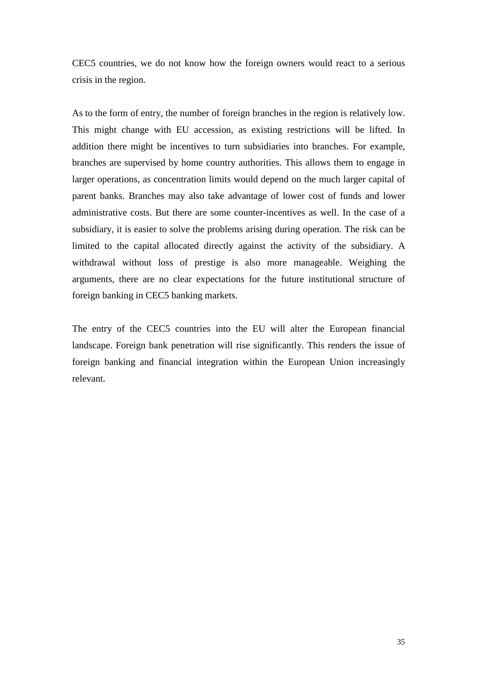CEC5 countries, we do not know how the foreign owners would react to a serious crisis in the region.

As to the form of entry, the number of foreign branches in the region is relatively low. This might change with EU accession, as existing restrictions will be lifted. In addition there might be incentives to turn subsidiaries into branches. For example, branches are supervised by home country authorities. This allows them to engage in larger operations, as concentration limits would depend on the much larger capital of parent banks. Branches may also take advantage of lower cost of funds and lower administrative costs. But there are some counter-incentives as well. In the case of a subsidiary, it is easier to solve the problems arising during operation. The risk can be limited to the capital allocated directly against the activity of the subsidiary. A withdrawal without loss of prestige is also more manageable. Weighing the arguments, there are no clear expectations for the future institutional structure of foreign banking in CEC5 banking markets.

The entry of the CEC5 countries into the EU will alter the European financial landscape. Foreign bank penetration will rise significantly. This renders the issue of foreign banking and financial integration within the European Union increasingly relevant.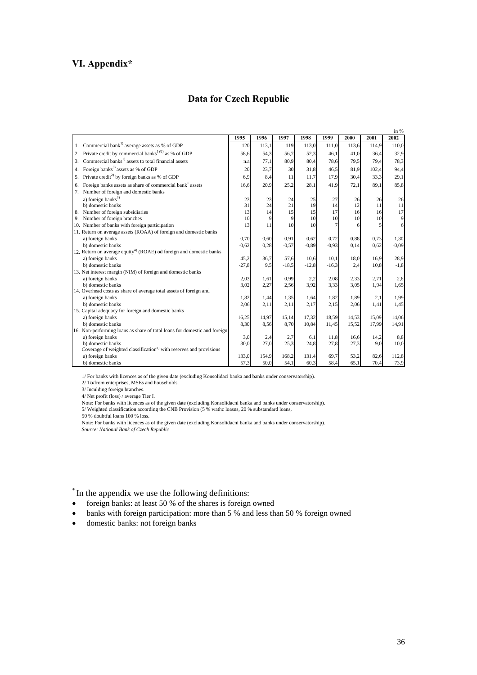## <span id="page-35-0"></span>**VI. Appendix\***

## <span id="page-35-1"></span>**Data for Czech Republic**

|                                                                                  |         |       |         |         |         |       |                 | in %           |
|----------------------------------------------------------------------------------|---------|-------|---------|---------|---------|-------|-----------------|----------------|
|                                                                                  | 1995    | 1996  | 1997    | 1998    | 1999    | 2000  | 2001            | 2002           |
| Commercial bank <sup>1)</sup> average assets as % of GDP                         | 120     | 113.1 | 119     | 113,0   | 111,0   | 113,6 | 114,9           | 110,0          |
| Private credit by commercial banks <sup><math>1/2</math></sup> as % of GDP<br>2. | 58,6    | 54,3  | 56,7    | 52,3    | 46,1    | 41,0  | 36,4            | 32,9           |
| Commercial banks <sup>1)</sup> assets to total financial assets<br>3.            | n.a     | 77,1  | 80,9    | 80,4    | 78,6    | 79,5  | 79,4            | 78,3           |
| Foreign banks <sup>3)</sup> assets as % of GDP<br>4.                             | 20      | 23,7  | 30      | 31,8    | 46,5    | 81,9  | 102,4           | 94,4           |
| Private credit <sup>2)</sup> by foreign banks as % of GDP<br>5.                  | 6.9     | 8,4   | 11      | 11.7    | 17.9    | 30,4  | 33,3            | 29,1           |
| Foreign banks assets as share of commercial bank <sup>1</sup> assets<br>6.       | 16.6    | 20,9  | 25,2    | 28.1    | 41,9    | 72.1  | 89.1            | 85,8           |
| Number of foreign and domestic banks<br>7.                                       |         |       |         |         |         |       |                 |                |
| a) foreign banks $^{3)}$                                                         | 23      | 23    | 24      | 25      | 27      | 26    | 26              | 26             |
| b) domestic banks                                                                | 31      | 24    | 21      | 19      | 14      | 12    | 11              | 11             |
| Number of foreign subsidiaries<br>8.                                             | 13      | 14    | 15      | 15      | 17      | 16    | 16              | 17             |
| Number of foreign branches<br>9.                                                 | 10      | 9     | 9       | 10      | 10      | 10    | 10 <sup>1</sup> | $\overline{9}$ |
| 10. Number of banks with foreign participation                                   | 13      | 11    | 10      | 10      |         | 6     |                 | $\overline{6}$ |
| 11. Return on average assets (ROAA) of foreign and domestic banks                |         |       |         |         |         |       |                 |                |
| a) foreign banks                                                                 | 0.70    | 0.60  | 0.91    | 0.62    | 0,72    | 0,88  | 0,73            | 1,30           |
| b) domestic banks                                                                | $-0,62$ | 0,28  | $-0.57$ | $-0.89$ | $-0.93$ | 0,14  | 0,62            | $-0.09$        |
| 12. Return on average equity <sup>4)</sup> (ROAE) od foreign and domestic banks  |         |       |         |         |         |       |                 |                |
| a) foreign banks                                                                 | 45,2    | 36,7  | 57,6    | 10.6    | 10.1    | 18,0  | 16,9            | 28,9           |
| b) domestic banks                                                                | $-27,8$ | 9,5   | $-18.5$ | $-12,8$ | $-16,3$ | 2,4   | 10,8            | $-1,8$         |
| 13. Net interest margin (NIM) of foreign and domestic banks                      |         |       |         |         |         |       |                 |                |
| a) foreign banks                                                                 | 2,03    | 1,61  | 0,99    | 2,2     | 2,08    | 2,33  | 2,71            | 2,6            |
| b) domestic banks                                                                | 3,02    | 2,27  | 2,56    | 3,92    | 3,33    | 3,05  | 1,94            | 1,65           |
| 14. Overhead costs as share of average total assets of foreign and               |         |       |         |         |         |       |                 |                |
| a) foreign banks                                                                 | 1,82    | 1,44  | 1,35    | 1.64    | 1.82    | 1,89  | 2,1             | 1,99           |
| b) domestic banks                                                                | 2,06    | 2,11  | 2,11    | 2,17    | 2,15    | 2,06  | 1,41            | 1,45           |
| 15. Capital adequacy for foreign and domestic banks                              |         |       |         |         |         |       |                 |                |
| a) foreign banks                                                                 | 16,25   | 14,97 | 15,14   | 17,32   | 18,59   | 14,53 | 15,09           | 14,06          |
| b) domestic banks                                                                | 8,30    | 8,56  | 8,70    | 10,84   | 11,45   | 15,52 | 17,99           | 14,91          |
| 16. Non-performing loans as share of total loans for domestic and foreign        |         |       |         |         |         |       |                 |                |
| a) foreign banks                                                                 | 3,0     | 2,4   | 2,7     | 6,1     | 11,8    | 16.6  | 14,2            | 8,8            |
| b) domestic banks                                                                | 30,0    | 27,0  | 25,3    | 24,8    | 27,8    | 27,3  | 9.0             | 10,0           |
| Coverage of weighted classification <sup>5)</sup> with reserves and provisions   |         |       |         |         |         |       |                 |                |
| a) foreign banks                                                                 | 133,0   | 154,9 | 168,2   | 131,4   | 69,7    | 53,2  | 82,6            | 112,8          |
| b) domestic banks                                                                | 57,3    | 50,0  | 54,1    | 60,3    | 58,4    | 65,1  | 70,4            | 73,9           |

1/ For banks with licences as of the given date (excluding Konsolidaci banka and banks under conservatorship).

2/ To/from enterprises, MSEs and households.

3/ Inculding foreign branches.

4/ Net profit (loss) / average Tier I.

Note: For banks with licences as of the given date (excluding Konsolidacni banka and banks under conservatorship).

5/ Weighted classification according the CNB Provision (5 % wathc loasns, 20 % substandard loans,

50 % doubtful loans 100 % loss.

\* In the appendix we use the following definitions:

- foreign banks: at least 50 % of the shares is foreign owned
- banks with foreign participation: more than 5 % and less than 50 % foreign owned
- domestic banks: not foreign banks

Note: For banks with licences as of the given date (excluding Konsolidacni banka and banks under conservatorship). *Source: National Bank of Czech Republic*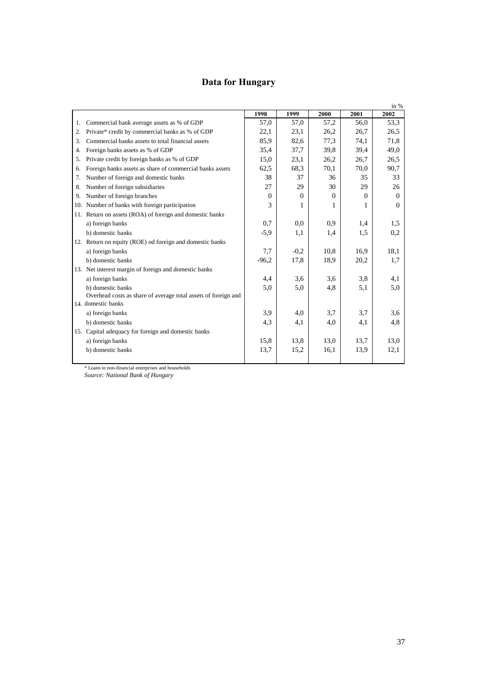## <span id="page-36-0"></span>**Data for Hungary**

|    |                                                                |          |          |          |      | in $%$   |
|----|----------------------------------------------------------------|----------|----------|----------|------|----------|
|    |                                                                | 1998     | 1999     | 2000     | 2001 | 2002     |
| 1. | Commercial bank average assets as % of GDP                     | 57,0     | 57,0     | 57,2     | 56,0 | 53,3     |
| 2. | Private* credit by commercial banks as % of GDP                | 22.1     | 23.1     | 26.2     | 26.7 | 26.5     |
| 3. | Commercial banks assets to total financial assets              | 85,9     | 82,6     | 77,3     | 74.1 | 71,8     |
| 4. | Foreign banks assets as % of GDP                               | 35,4     | 37,7     | 39,8     | 39,4 | 49,0     |
| 5. | Private credit by foreign banks as % of GDP                    | 15,0     | 23,1     | 26,2     | 26,7 | 26,5     |
| 6. | Foreign banks assets as share of commercial banks assets       | 62,5     | 68,3     | 70,1     | 70,0 | 90,7     |
| 7. | Number of foreign and domestic banks                           | 38       | 37       | 36       | 35   | 33       |
| 8. | Number of foreign subsidiaries                                 | 27       | 29       | 30       | 29   | 26       |
| 9. | Number of foreign branches                                     | $\Omega$ | $\Omega$ | $\Omega$ | 0    | $\Omega$ |
|    | 10. Number of banks with foreign participation                 | 3        |          | 1        |      | $\Omega$ |
|    | 11. Return on assets (ROA) of foreign and domestic banks       |          |          |          |      |          |
|    | a) foreign banks                                               | 0.7      | 0.0      | 0.9      | 1,4  | 1,5      |
|    | b) domestic banks                                              | $-5,9$   | 1,1      | 1,4      | 1,5  | 0,2      |
|    | 12. Return on equity (ROE) od foreign and domestic banks       |          |          |          |      |          |
|    | a) foreign banks                                               | 7,7      | $-0.2$   | 10.8     | 16.9 | 18,1     |
|    | b) domestic banks                                              | $-96,2$  | 17,8     | 18.9     | 20,2 | 1,7      |
|    | 13. Net interest margin of foreign and domestic banks          |          |          |          |      |          |
|    | a) foreign banks                                               | 4,4      | 3.6      | 3.6      | 3.8  | 4,1      |
|    | b) domestic banks                                              | 5.0      | 5.0      | 4.8      | 5.1  | 5,0      |
|    | Overhead costs as share of average total assets of foreign and |          |          |          |      |          |
|    | 14 domestic banks                                              |          |          |          |      |          |
|    | a) foreign banks                                               | 3.9      | 4.0      | 3.7      | 3,7  | 3,6      |
|    | b) domestic banks                                              | 4,3      | 4,1      | 4,0      | 4,1  | 4,8      |
|    | 15. Capital adequacy for foreign and domestic banks            |          |          |          |      |          |
|    | a) foreign banks                                               | 15.8     | 13.8     | 13.0     | 13.7 | 13.0     |
|    | b) domestic banks                                              | 13,7     | 15,2     | 16,1     | 13,9 | 12,1     |
|    |                                                                |          |          |          |      |          |

\* Loans to non-financial enterprises and households

*Source: National Bank of Hungary*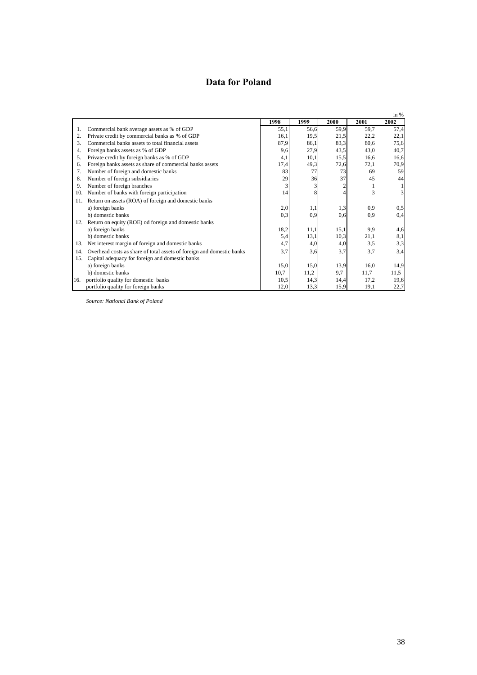## <span id="page-37-0"></span>**Data for Poland**

|     |                                                                       |      |      |      |      | in %           |
|-----|-----------------------------------------------------------------------|------|------|------|------|----------------|
|     |                                                                       | 1998 | 1999 | 2000 | 2001 | 2002           |
| 1.  | Commercial bank average assets as % of GDP                            | 55,1 | 56,6 | 59,9 | 59,7 | 57,4           |
| 2.  | Private credit by commercial banks as % of GDP                        | 16,1 | 19,5 | 21,5 | 22,2 | 22,1           |
| 3.  | Commercial banks assets to total financial assets                     | 87,9 | 86,1 | 83,3 | 80,6 | 75,6           |
| 4.  | Foreign banks assets as % of GDP                                      | 9,6  | 27,9 | 43,5 | 43,0 | 40,7           |
| 5.  | Private credit by foreign banks as % of GDP                           | 4,1  | 10,1 | 15,5 | 16.6 | 16,6           |
| 6.  | Foreign banks assets as share of commercial banks assets              | 17,4 | 49,3 | 72,6 | 72,1 | 70.9           |
| 7.  | Number of foreign and domestic banks                                  | 83   | 77   | 73   | 69   | 59             |
| 8.  | Number of foreign subsidiaries                                        | 29   | 36   | 37   | 45   | 44             |
| 9.  | Number of foreign branches                                            | 3    |      |      |      | $\mathbf{1}$   |
| 10. | Number of banks with foreign participation                            | 14   | 8    |      |      | $\overline{3}$ |
| 11. | Return on assets (ROA) of foreign and domestic banks                  |      |      |      |      |                |
|     | a) foreign banks                                                      | 2,0  | 1,1  | 1,3  | 0.9  | 0.5            |
|     | b) domestic banks                                                     | 0.3  | 0.9  | 0,6  | 0.9  | 0,4            |
|     | 12. Return on equity (ROE) od foreign and domestic banks              |      |      |      |      |                |
|     | a) foreign banks                                                      | 18,2 | 11,1 | 15,1 | 9,9  | 4,6            |
|     | b) domestic banks                                                     | 5,4  | 13,1 | 10,3 | 21,1 | 8,1            |
| 13. | Net interest margin of foreign and domestic banks                     | 4,7  | 4,0  | 4,0  | 3,5  | 3,3            |
| 14. | Overhead costs as share of total assets of foreign and domestic banks | 3,7  | 3,6  | 3,7  | 3,7  | 3,4            |
| 15. | Capital adequacy for foreign and domestic banks                       |      |      |      |      |                |
|     | a) foreign banks                                                      | 15,0 | 15,0 | 13,9 | 16,0 | 14,9           |
|     | b) domestic banks                                                     | 10,7 | 11,2 | 9,7  | 11,7 | 11,5           |
| 16. | portfolio quality for domestic banks                                  | 10,5 | 14,3 | 14,4 | 17,2 | 19,6           |
|     | portfolio quality for foreign banks                                   | 12,0 | 13,3 | 15,9 | 19,1 | 22,7           |

*Source: National Bank of Poland*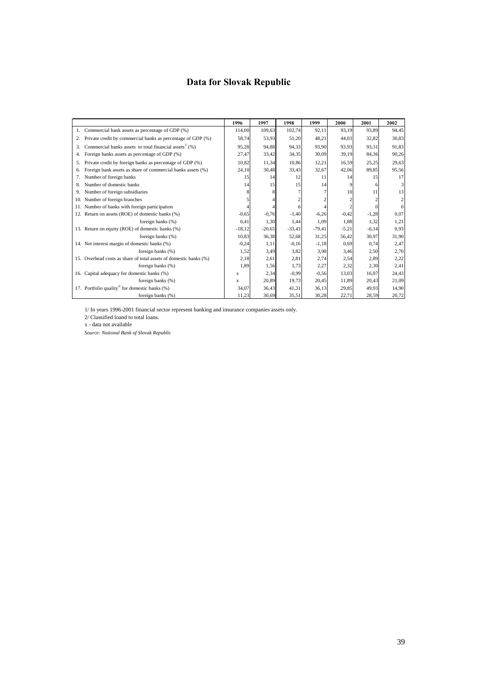## <span id="page-38-0"></span>**Data for Slovak Republic**

|     |                                                                                 | 1996     | 1997     | 1998     | 1999     | 2000            | 2001    | 2002                    |
|-----|---------------------------------------------------------------------------------|----------|----------|----------|----------|-----------------|---------|-------------------------|
|     | 1. Commercial bank assets as percentage of GDP (%)                              | 114,00   | 109.63   | 102,74   | 92,11    | 93.19           | 93,89   | 94,45                   |
| 2.  | Private credit by commercial banks as percentage of GDP (%)                     | 58.74    | 53,93    | 51,20    | 48,21    | 44.03           | 32,82   | 30,83                   |
| 3.  | Commercial banks assets to total financial assets <sup><math>V</math></sup> (%) | 95.28    | 94,88    | 94,33    | 93.90    | 93.93           | 93.31   | 91,83                   |
| 4.  | Foreign banks assets as percentage of GDP (%)                                   | 27,47    | 33,42    | 34,35    | 30,09    | 39.19           | 84,36   | 90,26                   |
| .5. | Private credit by foreign banks as percentage of GDP (%)                        | 10.82    | 11,34    | 10,86    | 12,21    | 16.59           | 25.25   | 29,63                   |
| 6.  | Foreign bank assets as share of commercial banks assets (%)                     | 24,10    | 30,48    | 33,43    | 32,67    | 42,06           | 89,85   | 95,56                   |
|     | Number of foreign banks                                                         | 15       | 14       | 12       | 11       | 14              | 15      | 17                      |
|     | Number of domestic banks                                                        | 14       | 15       | 15       | 14       |                 | 6       | $\overline{\mathbf{3}}$ |
| 9.  | Number of foreign subsidiaries                                                  |          |          |          |          | 10 <sup>1</sup> | 11      | 13                      |
| 10. | Number of foreign branches                                                      |          |          |          |          |                 |         | $\overline{2}$          |
| 11. | Number of banks with foreign participation                                      |          |          |          |          |                 |         | $\overline{0}$          |
| 12. | Return on assets (ROE) of domestic banks (%)                                    | $-0,65$  | $-0,76$  | $-1,40$  | $-6,26$  | $-0,42$         | $-1,28$ | 0,07                    |
|     | foreign banks (%)                                                               | 0.41     | 1,30     | 1,44     | 1,09     | 1,88            | 1.32    | 1,21                    |
|     | 13. Return on equity (ROE) of domestic banks (%)                                | $-18,12$ | $-20,65$ | $-33,43$ | $-79.41$ | $-5,21$         | $-6.14$ | 0,93                    |
|     | foreign banks (%)                                                               | 10,83    | 36,38    | 52,68    | 31,25    | 56.42           | 30.97   | 31,90                   |
|     | 14. Net interest margin of domestic banks (%)                                   | $-0,24$  | 1,11     | $-0,16$  | $-1,18$  | 0.69            | 0.74    | 2,47                    |
|     | foreign banks (%)                                                               | 1,52     | 3,49     | 3,82     | 3,98     | 3,46            | 2,50    | 2,70                    |
|     | 15. Overhead costs as share of total assets of domestic banks (%)               | 2,18     | 2,61     | 2,81     | 2,74     | 2,54            | 2,89    | 2,22                    |
|     | foreign banks (%)                                                               | 1,89     | 1,56     | 1,73     | 2,27     | 2,32            | 2,30    | 2,41                    |
|     | 16. Capital adequacy for domestic banks (%)                                     | X        | 2,34     | $-0.99$  | $-0.56$  | 13,03           | 16,07   | 24,43                   |
|     | foreign banks (%)                                                               | X        | 20,89    | 19,73    | 20,45    | 11.89           | 20,43   | 21,09                   |
|     | 17. Portfolio quality <sup>2'</sup> for domestic banks $(\%)$                   | 34.07    | 36,43    | 41,31    | 36,13    | 29,85           | 49.93   | 14,90                   |
|     | foreign banks (%)                                                               | 11,23    | 30,69    | 35,51    | 30,28    | 22,71           | 28,59   | 20,72                   |

1/ In years 1996-2001 financial sector represent banking and insurance companies assets only.

2/ Classified loand to total loans.

x - data not available

*Source: National Bank of Slovak Republic*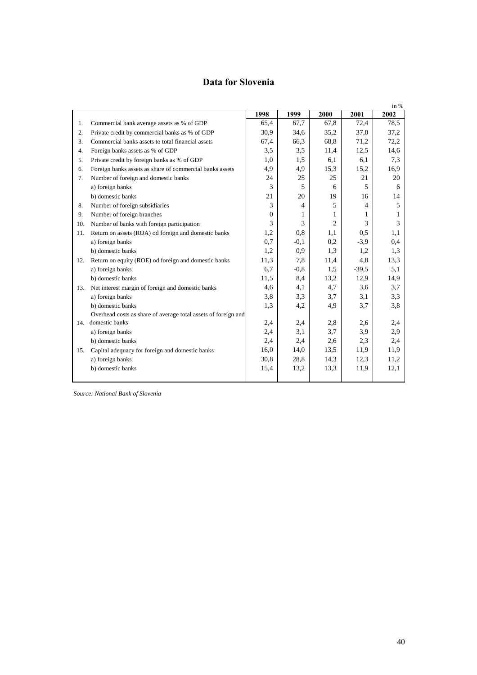## <span id="page-39-0"></span>**Data for Slovenia**

|     |                                                                |          |                |      |                | in $%$ |
|-----|----------------------------------------------------------------|----------|----------------|------|----------------|--------|
|     |                                                                | 1998     | 1999           | 2000 | 2001           | 2002   |
| 1.  | Commercial bank average assets as % of GDP                     | 65,4     | 67,7           | 67,8 | 72,4           | 78,5   |
| 2.  | Private credit by commercial banks as % of GDP                 | 30,9     | 34,6           | 35,2 | 37,0           | 37,2   |
| 3.  | Commercial banks assets to total financial assets              | 67,4     | 66,3           | 68,8 | 71,2           | 72,2   |
| 4.  | Foreign banks assets as % of GDP                               | 3,5      | 3,5            | 11,4 | 12,5           | 14,6   |
| 5.  | Private credit by foreign banks as % of GDP                    | 1,0      | 1,5            | 6,1  | 6,1            | 7.3    |
| 6.  | Foreign banks assets as share of commercial banks assets       | 4,9      | 4,9            | 15,3 | 15,2           | 16,9   |
| 7.  | Number of foreign and domestic banks                           | 24       | 25             | 25   | 21             | 20     |
|     | a) foreign banks                                               | 3        | $\overline{5}$ | 6    | 5              | 6      |
|     | b) domestic banks                                              | 21       | 20             | 19   | 16             | 14     |
| 8.  | Number of foreign subsidiaries                                 | 3        | $\overline{4}$ | 5    | $\overline{4}$ | 5      |
| 9.  | Number of foreign branches                                     | $\Omega$ | 1              | 1    | 1              | 1      |
| 10. | Number of banks with foreign participation                     | 3        | 3              | 2    | 3              | 3      |
| 11. | Return on assets (ROA) od foreign and domestic banks           | 1,2      | 0,8            | 1,1  | 0,5            | 1,1    |
|     | a) foreign banks                                               | 0.7      | $-0,1$         | 0,2  | $-3,9$         | 0,4    |
|     | b) domestic banks                                              | 1,2      | 0,9            | 1,3  | 1.2            | 1,3    |
| 12. | Return on equity (ROE) od foreign and domestic banks           | 11,3     | 7,8            | 11,4 | 4,8            | 13,3   |
|     | a) foreign banks                                               | 6,7      | $-0,8$         | 1,5  | $-39,5$        | 5,1    |
|     | b) domestic banks                                              | 11,5     | 8,4            | 13,2 | 12,9           | 14,9   |
| 13. | Net interest margin of foreign and domestic banks              | 4,6      | 4,1            | 4,7  | 3,6            | 3.7    |
|     | a) foreign banks                                               | 3,8      | 3,3            | 3,7  | 3,1            | 3,3    |
|     | b) domestic banks                                              | 1,3      | 4,2            | 4,9  | 3,7            | 3,8    |
|     | Overhead costs as share of average total assets of foreign and |          |                |      |                |        |
| 14. | domestic banks                                                 | 2,4      | 2,4            | 2,8  | 2.6            | 2,4    |
|     | a) foreign banks                                               | 2,4      | 3,1            | 3,7  | 3,9            | 2,9    |
|     | b) domestic banks                                              | 2.4      | 2,4            | 2,6  | 2,3            | 2,4    |
| 15. | Capital adequacy for foreign and domestic banks                | 16,0     | 14,0           | 13.5 | 11,9           | 11,9   |
|     | a) foreign banks                                               | 30,8     | 28,8           | 14,3 | 12,3           | 11,2   |
|     | b) domestic banks                                              | 15,4     | 13,2           | 13,3 | 11,9           | 12,1   |
|     |                                                                |          |                |      |                |        |

*Source: National Bank of Slovenia*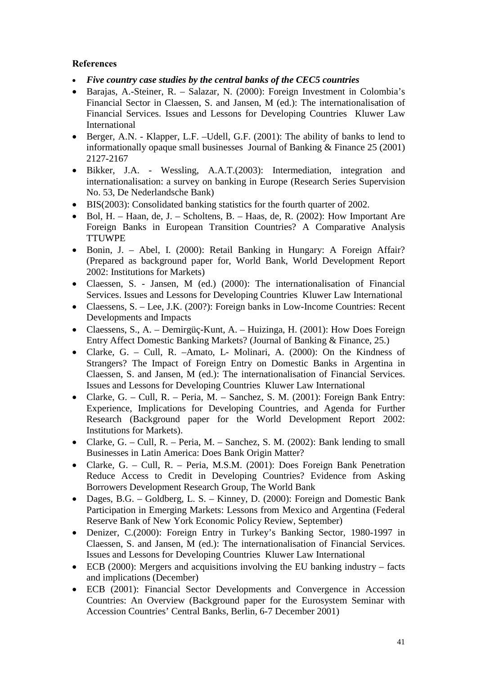## <span id="page-40-0"></span>**References**

- *Five country case studies by the central banks of the CEC5 countries*
- Barajas, A.-Steiner, R. Salazar, N. (2000): Foreign Investment in Colombia's Financial Sector in Claessen, S. and Jansen, M (ed.): The internationalisation of Financial Services. Issues and Lessons for Developing Countries Kluwer Law International
- Berger, A.N. Klapper, L.F. –Udell, G.F. (2001): The ability of banks to lend to informationally opaque small businesses Journal of Banking & Finance 25 (2001) 2127-2167
- Bikker, J.A. Wessling, A.A.T.(2003): Intermediation, integration and internationalisation: a survey on banking in Europe (Research Series Supervision No. 53, De Nederlandsche Bank)
- BIS(2003): Consolidated banking statistics for the fourth quarter of 2002.
- $\bullet$  Bol, H. Haan, de, J. Scholtens, B. Haas, de, R. (2002): How Important Are Foreign Banks in European Transition Countries? A Comparative Analysis **TTUWPE**
- Bonin, J. Abel, I. (2000): Retail Banking in Hungary: A Foreign Affair? (Prepared as background paper for, World Bank, World Development Report 2002: Institutions for Markets)
- Claessen, S. Jansen, M (ed.) (2000): The internationalisation of Financial Services. Issues and Lessons for Developing Countries Kluwer Law International
- Claessens, S. Lee, J.K. (200?): Foreign banks in Low-Income Countries: Recent Developments and Impacts
- Claessens, S., A. Demirgüç-Kunt, A. Huizinga, H. (2001): How Does Foreign Entry Affect Domestic Banking Markets? (Journal of Banking & Finance, 25.)
- Clarke, G. Cull, R. –Amato, L- Molinari, A. (2000): On the Kindness of Strangers? The Impact of Foreign Entry on Domestic Banks in Argentina in Claessen, S. and Jansen, M (ed.): The internationalisation of Financial Services. Issues and Lessons for Developing Countries Kluwer Law International
- Clarke, G. Cull, R. Peria, M. Sanchez, S. M. (2001): Foreign Bank Entry: Experience, Implications for Developing Countries, and Agenda for Further Research (Background paper for the World Development Report 2002: Institutions for Markets).
- Clarke, G. Cull, R. Peria, M. Sanchez, S. M. (2002): Bank lending to small Businesses in Latin America: Does Bank Origin Matter?
- Clarke, G. Cull, R. Peria, M.S.M. (2001): Does Foreign Bank Penetration Reduce Access to Credit in Developing Countries? Evidence from Asking Borrowers Development Research Group, The World Bank
- Dages, B.G. Goldberg, L. S. Kinney, D. (2000): Foreign and Domestic Bank Participation in Emerging Markets: Lessons from Mexico and Argentina (Federal Reserve Bank of New York Economic Policy Review, September)
- Denizer, C.(2000): Foreign Entry in Turkey's Banking Sector, 1980-1997 in Claessen, S. and Jansen, M (ed.): The internationalisation of Financial Services. Issues and Lessons for Developing Countries Kluwer Law International
- ECB (2000): Mergers and acquisitions involving the EU banking industry facts and implications (December)
- ECB (2001): Financial Sector Developments and Convergence in Accession Countries: An Overview (Background paper for the Eurosystem Seminar with Accession Countries' Central Banks, Berlin, 6-7 December 2001)